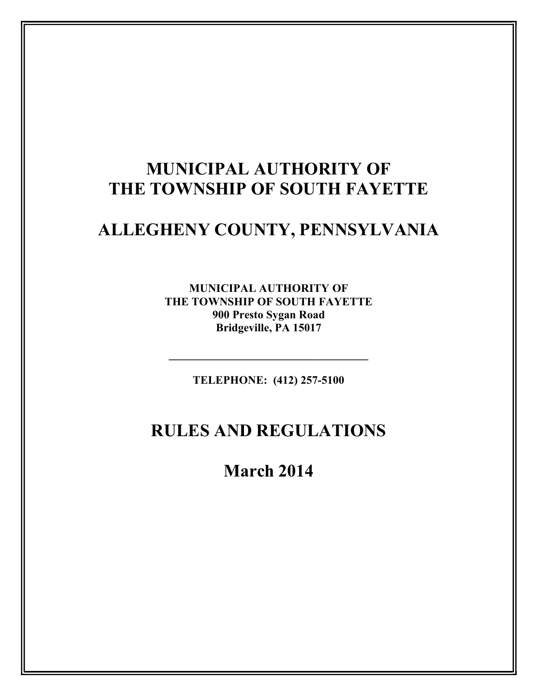# MUNICIPAL AUTHORITY OF THE TOWNSHIP OF SOUTH FAYETTE

# ALLEGHENY COUNTY, PENNSYLVANIA

MUNICIPAL AUTHORITY OF THE TOWNSHIP OF SOUTH FAYETTE 900 Presto Sygan Road Bridgeville, PA 15017

TELEPHONE: (412) 257-5100

 $\mathcal{L}_\text{max}$  , and the set of the set of the set of the set of the set of the set of the set of the set of the set of the set of the set of the set of the set of the set of the set of the set of the set of the set of the

# RULES AND REGULATIONS

March 2014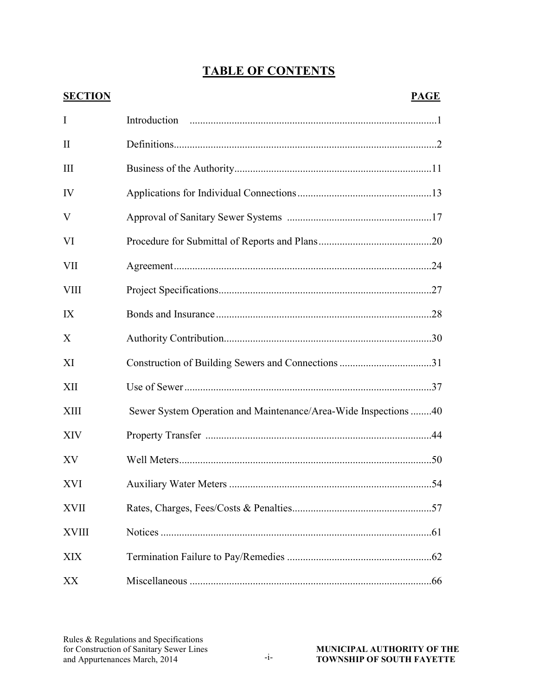## TABLE OF CONTENTS

| <b>SECTION</b> | <b>PAGE</b>                                                     |
|----------------|-----------------------------------------------------------------|
| I              |                                                                 |
| $\mathbf{I}$   |                                                                 |
| Ш              |                                                                 |
| IV             |                                                                 |
| V              |                                                                 |
| VI             |                                                                 |
| VII            |                                                                 |
| <b>VIII</b>    |                                                                 |
| IX             |                                                                 |
| X              |                                                                 |
| XI             |                                                                 |
| XII            |                                                                 |
| XIII           | Sewer System Operation and Maintenance/Area-Wide Inspections 40 |
| XIV            |                                                                 |
| XV             |                                                                 |
| XVI            |                                                                 |
| <b>XVII</b>    |                                                                 |
| <b>XVIII</b>   |                                                                 |
| XIX            |                                                                 |
| XX             |                                                                 |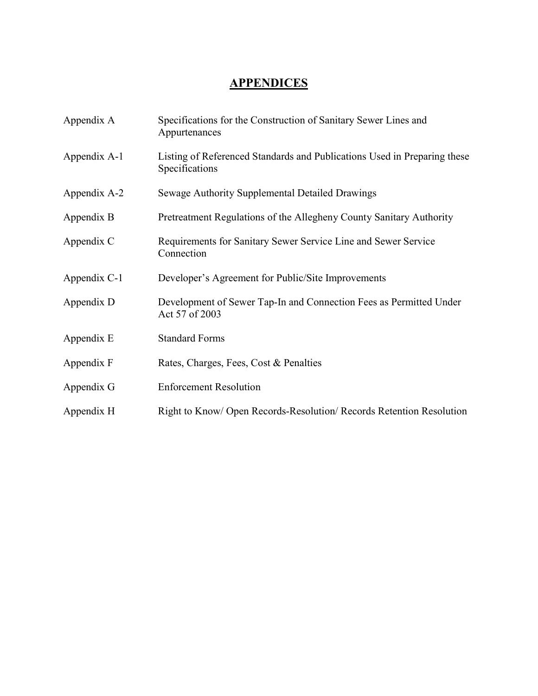## **APPENDICES**

| Appendix A   | Specifications for the Construction of Sanitary Sewer Lines and<br>Appurtenances           |  |  |
|--------------|--------------------------------------------------------------------------------------------|--|--|
| Appendix A-1 | Listing of Referenced Standards and Publications Used in Preparing these<br>Specifications |  |  |
| Appendix A-2 | Sewage Authority Supplemental Detailed Drawings                                            |  |  |
| Appendix B   | Pretreatment Regulations of the Allegheny County Sanitary Authority                        |  |  |
| Appendix C   | Requirements for Sanitary Sewer Service Line and Sewer Service<br>Connection               |  |  |
| Appendix C-1 | Developer's Agreement for Public/Site Improvements                                         |  |  |
| Appendix D   | Development of Sewer Tap-In and Connection Fees as Permitted Under<br>Act 57 of 2003       |  |  |
| Appendix E   | <b>Standard Forms</b>                                                                      |  |  |
| Appendix F   | Rates, Charges, Fees, Cost & Penalties                                                     |  |  |
| Appendix G   | <b>Enforcement Resolution</b>                                                              |  |  |
| Appendix H   | Right to Know/ Open Records-Resolution/ Records Retention Resolution                       |  |  |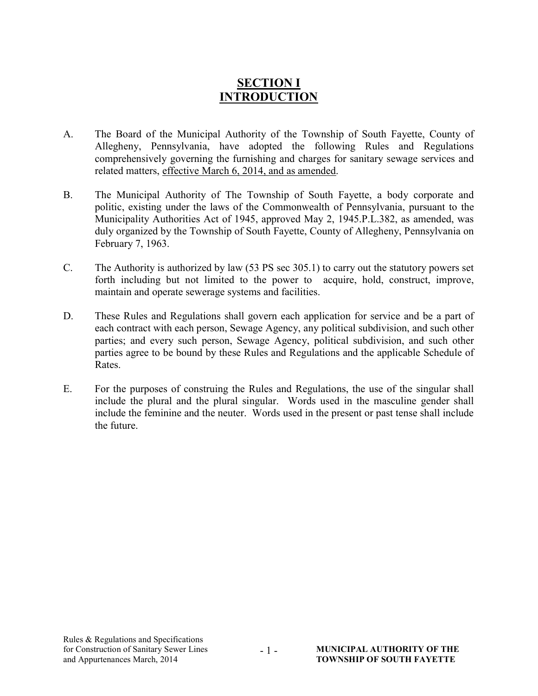## SECTION I INTRODUCTION

- A. The Board of the Municipal Authority of the Township of South Fayette, County of Allegheny, Pennsylvania, have adopted the following Rules and Regulations comprehensively governing the furnishing and charges for sanitary sewage services and related matters, effective March 6, 2014, and as amended.
- B. The Municipal Authority of The Township of South Fayette, a body corporate and politic, existing under the laws of the Commonwealth of Pennsylvania, pursuant to the Municipality Authorities Act of 1945, approved May 2, 1945.P.L.382, as amended, was duly organized by the Township of South Fayette, County of Allegheny, Pennsylvania on February 7, 1963.
- C. The Authority is authorized by law (53 PS sec 305.1) to carry out the statutory powers set forth including but not limited to the power to acquire, hold, construct, improve, maintain and operate sewerage systems and facilities.
- D. These Rules and Regulations shall govern each application for service and be a part of each contract with each person, Sewage Agency, any political subdivision, and such other parties; and every such person, Sewage Agency, political subdivision, and such other parties agree to be bound by these Rules and Regulations and the applicable Schedule of Rates.
- E. For the purposes of construing the Rules and Regulations, the use of the singular shall include the plural and the plural singular. Words used in the masculine gender shall include the feminine and the neuter. Words used in the present or past tense shall include the future.

- 1 -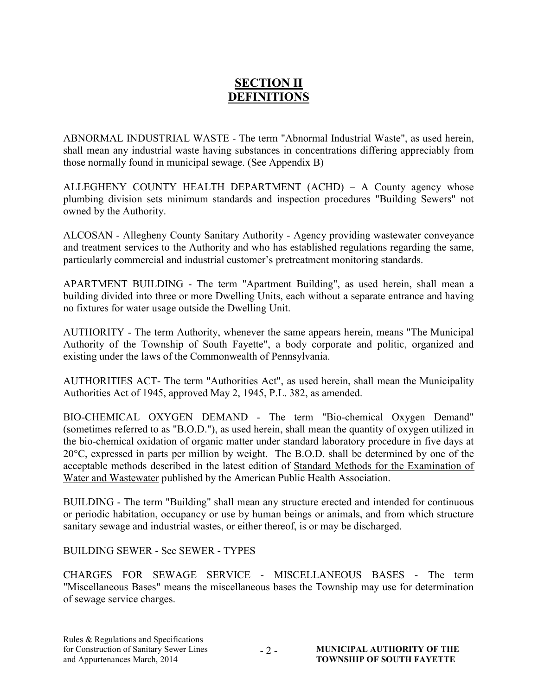## SECTION II DEFINITIONS

ABNORMAL INDUSTRIAL WASTE - The term "Abnormal Industrial Waste", as used herein, shall mean any industrial waste having substances in concentrations differing appreciably from those normally found in municipal sewage. (See Appendix B)

ALLEGHENY COUNTY HEALTH DEPARTMENT (ACHD) – A County agency whose plumbing division sets minimum standards and inspection procedures "Building Sewers" not owned by the Authority.

ALCOSAN - Allegheny County Sanitary Authority - Agency providing wastewater conveyance and treatment services to the Authority and who has established regulations regarding the same, particularly commercial and industrial customer's pretreatment monitoring standards.

APARTMENT BUILDING - The term "Apartment Building", as used herein, shall mean a building divided into three or more Dwelling Units, each without a separate entrance and having no fixtures for water usage outside the Dwelling Unit.

AUTHORITY - The term Authority, whenever the same appears herein, means "The Municipal Authority of the Township of South Fayette", a body corporate and politic, organized and existing under the laws of the Commonwealth of Pennsylvania.

AUTHORITIES ACT- The term "Authorities Act", as used herein, shall mean the Municipality Authorities Act of 1945, approved May 2, 1945, P.L. 382, as amended.

BIO-CHEMICAL OXYGEN DEMAND - The term "Bio-chemical Oxygen Demand" (sometimes referred to as "B.O.D."), as used herein, shall mean the quantity of oxygen utilized in the bio-chemical oxidation of organic matter under standard laboratory procedure in five days at 20°C, expressed in parts per million by weight. The B.O.D. shall be determined by one of the acceptable methods described in the latest edition of Standard Methods for the Examination of Water and Wastewater published by the American Public Health Association.

BUILDING - The term "Building" shall mean any structure erected and intended for continuous or periodic habitation, occupancy or use by human beings or animals, and from which structure sanitary sewage and industrial wastes, or either thereof, is or may be discharged.

BUILDING SEWER - See SEWER - TYPES

CHARGES FOR SEWAGE SERVICE - MISCELLANEOUS BASES - The term "Miscellaneous Bases" means the miscellaneous bases the Township may use for determination of sewage service charges.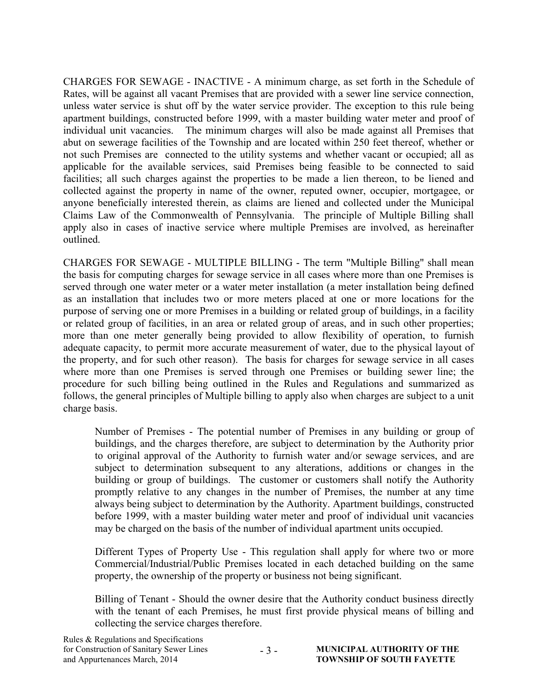CHARGES FOR SEWAGE - INACTIVE - A minimum charge, as set forth in the Schedule of Rates, will be against all vacant Premises that are provided with a sewer line service connection, unless water service is shut off by the water service provider. The exception to this rule being apartment buildings, constructed before 1999, with a master building water meter and proof of individual unit vacancies. The minimum charges will also be made against all Premises that abut on sewerage facilities of the Township and are located within 250 feet thereof, whether or not such Premises are connected to the utility systems and whether vacant or occupied; all as applicable for the available services, said Premises being feasible to be connected to said facilities; all such charges against the properties to be made a lien thereon, to be liened and collected against the property in name of the owner, reputed owner, occupier, mortgagee, or anyone beneficially interested therein, as claims are liened and collected under the Municipal Claims Law of the Commonwealth of Pennsylvania. The principle of Multiple Billing shall apply also in cases of inactive service where multiple Premises are involved, as hereinafter outlined.

CHARGES FOR SEWAGE - MULTIPLE BILLING - The term "Multiple Billing" shall mean the basis for computing charges for sewage service in all cases where more than one Premises is served through one water meter or a water meter installation (a meter installation being defined as an installation that includes two or more meters placed at one or more locations for the purpose of serving one or more Premises in a building or related group of buildings, in a facility or related group of facilities, in an area or related group of areas, and in such other properties; more than one meter generally being provided to allow flexibility of operation, to furnish adequate capacity, to permit more accurate measurement of water, due to the physical layout of the property, and for such other reason). The basis for charges for sewage service in all cases where more than one Premises is served through one Premises or building sewer line; the procedure for such billing being outlined in the Rules and Regulations and summarized as follows, the general principles of Multiple billing to apply also when charges are subject to a unit charge basis.

Number of Premises - The potential number of Premises in any building or group of buildings, and the charges therefore, are subject to determination by the Authority prior to original approval of the Authority to furnish water and/or sewage services, and are subject to determination subsequent to any alterations, additions or changes in the building or group of buildings. The customer or customers shall notify the Authority promptly relative to any changes in the number of Premises, the number at any time always being subject to determination by the Authority. Apartment buildings, constructed before 1999, with a master building water meter and proof of individual unit vacancies may be charged on the basis of the number of individual apartment units occupied.

Different Types of Property Use - This regulation shall apply for where two or more Commercial/Industrial/Public Premises located in each detached building on the same property, the ownership of the property or business not being significant.

Billing of Tenant - Should the owner desire that the Authority conduct business directly with the tenant of each Premises, he must first provide physical means of billing and collecting the service charges therefore.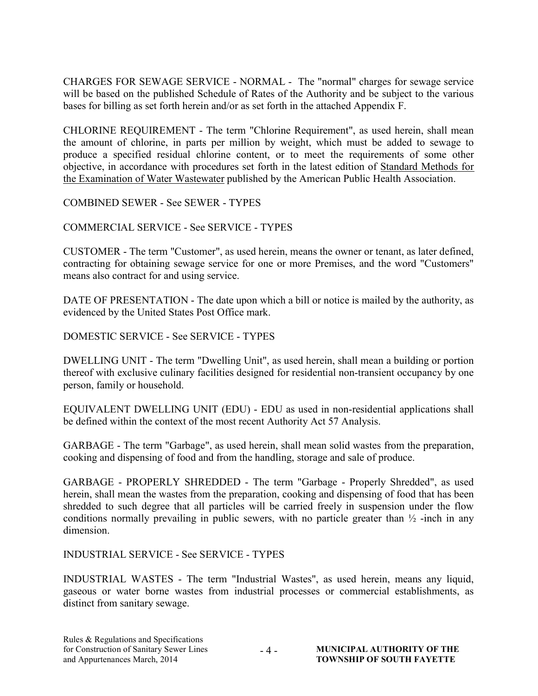CHARGES FOR SEWAGE SERVICE - NORMAL - The "normal" charges for sewage service will be based on the published Schedule of Rates of the Authority and be subject to the various bases for billing as set forth herein and/or as set forth in the attached Appendix F.

CHLORINE REQUIREMENT - The term "Chlorine Requirement", as used herein, shall mean the amount of chlorine, in parts per million by weight, which must be added to sewage to produce a specified residual chlorine content, or to meet the requirements of some other objective, in accordance with procedures set forth in the latest edition of Standard Methods for the Examination of Water Wastewater published by the American Public Health Association.

COMBINED SEWER - See SEWER - TYPES

COMMERCIAL SERVICE - See SERVICE - TYPES

CUSTOMER - The term "Customer", as used herein, means the owner or tenant, as later defined, contracting for obtaining sewage service for one or more Premises, and the word "Customers" means also contract for and using service.

DATE OF PRESENTATION - The date upon which a bill or notice is mailed by the authority, as evidenced by the United States Post Office mark.

DOMESTIC SERVICE - See SERVICE - TYPES

DWELLING UNIT - The term "Dwelling Unit", as used herein, shall mean a building or portion thereof with exclusive culinary facilities designed for residential non-transient occupancy by one person, family or household.

EQUIVALENT DWELLING UNIT (EDU) - EDU as used in non-residential applications shall be defined within the context of the most recent Authority Act 57 Analysis.

GARBAGE - The term "Garbage", as used herein, shall mean solid wastes from the preparation, cooking and dispensing of food and from the handling, storage and sale of produce.

GARBAGE - PROPERLY SHREDDED - The term "Garbage - Properly Shredded", as used herein, shall mean the wastes from the preparation, cooking and dispensing of food that has been shredded to such degree that all particles will be carried freely in suspension under the flow conditions normally prevailing in public sewers, with no particle greater than  $\frac{1}{2}$ -inch in any dimension.

INDUSTRIAL SERVICE - See SERVICE - TYPES

INDUSTRIAL WASTES - The term "Industrial Wastes", as used herein, means any liquid, gaseous or water borne wastes from industrial processes or commercial establishments, as distinct from sanitary sewage.

 $-4-$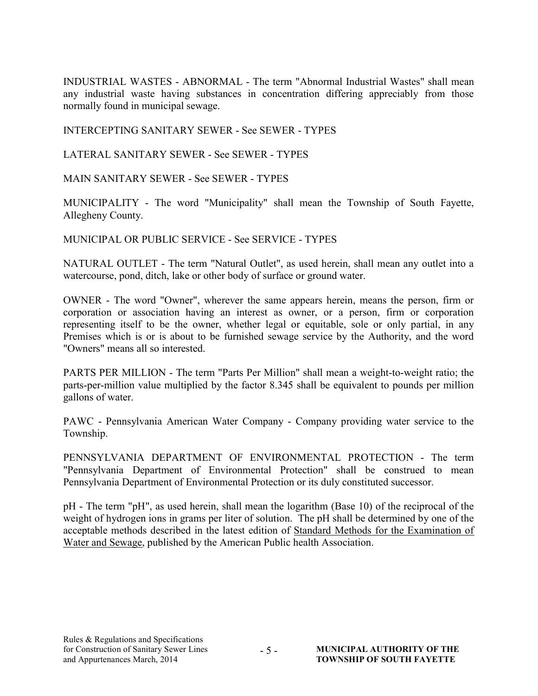INDUSTRIAL WASTES - ABNORMAL - The term "Abnormal Industrial Wastes" shall mean any industrial waste having substances in concentration differing appreciably from those normally found in municipal sewage.

INTERCEPTING SANITARY SEWER - See SEWER - TYPES

LATERAL SANITARY SEWER - See SEWER - TYPES

MAIN SANITARY SEWER - See SEWER - TYPES

MUNICIPALITY - The word "Municipality" shall mean the Township of South Fayette, Allegheny County.

MUNICIPAL OR PUBLIC SERVICE - See SERVICE - TYPES

NATURAL OUTLET - The term "Natural Outlet", as used herein, shall mean any outlet into a watercourse, pond, ditch, lake or other body of surface or ground water.

OWNER - The word "Owner", wherever the same appears herein, means the person, firm or corporation or association having an interest as owner, or a person, firm or corporation representing itself to be the owner, whether legal or equitable, sole or only partial, in any Premises which is or is about to be furnished sewage service by the Authority, and the word "Owners" means all so interested.

PARTS PER MILLION - The term "Parts Per Million" shall mean a weight-to-weight ratio; the parts-per-million value multiplied by the factor 8.345 shall be equivalent to pounds per million gallons of water.

PAWC - Pennsylvania American Water Company - Company providing water service to the Township.

PENNSYLVANIA DEPARTMENT OF ENVIRONMENTAL PROTECTION - The term "Pennsylvania Department of Environmental Protection" shall be construed to mean Pennsylvania Department of Environmental Protection or its duly constituted successor.

pH - The term "pH", as used herein, shall mean the logarithm (Base 10) of the reciprocal of the weight of hydrogen ions in grams per liter of solution. The pH shall be determined by one of the acceptable methods described in the latest edition of Standard Methods for the Examination of Water and Sewage, published by the American Public health Association.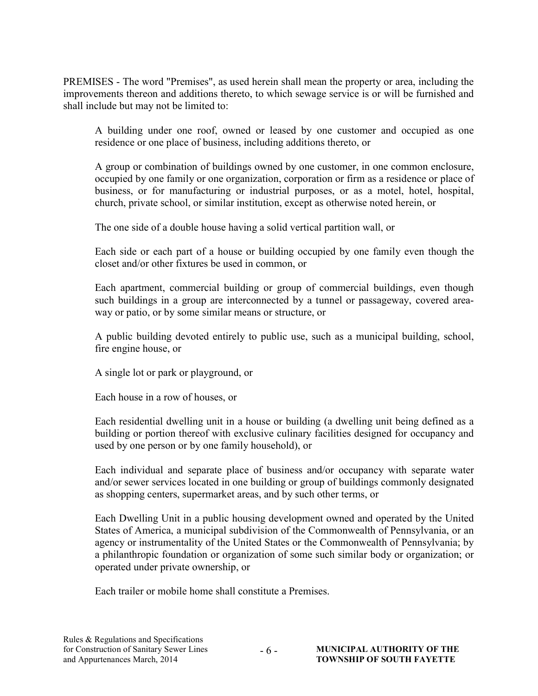PREMISES - The word "Premises", as used herein shall mean the property or area, including the improvements thereon and additions thereto, to which sewage service is or will be furnished and shall include but may not be limited to:

A building under one roof, owned or leased by one customer and occupied as one residence or one place of business, including additions thereto, or

A group or combination of buildings owned by one customer, in one common enclosure, occupied by one family or one organization, corporation or firm as a residence or place of business, or for manufacturing or industrial purposes, or as a motel, hotel, hospital, church, private school, or similar institution, except as otherwise noted herein, or

The one side of a double house having a solid vertical partition wall, or

Each side or each part of a house or building occupied by one family even though the closet and/or other fixtures be used in common, or

Each apartment, commercial building or group of commercial buildings, even though such buildings in a group are interconnected by a tunnel or passageway, covered areaway or patio, or by some similar means or structure, or

A public building devoted entirely to public use, such as a municipal building, school, fire engine house, or

A single lot or park or playground, or

Each house in a row of houses, or

Each residential dwelling unit in a house or building (a dwelling unit being defined as a building or portion thereof with exclusive culinary facilities designed for occupancy and used by one person or by one family household), or

Each individual and separate place of business and/or occupancy with separate water and/or sewer services located in one building or group of buildings commonly designated as shopping centers, supermarket areas, and by such other terms, or

Each Dwelling Unit in a public housing development owned and operated by the United States of America, a municipal subdivision of the Commonwealth of Pennsylvania, or an agency or instrumentality of the United States or the Commonwealth of Pennsylvania; by a philanthropic foundation or organization of some such similar body or organization; or operated under private ownership, or

Each trailer or mobile home shall constitute a Premises.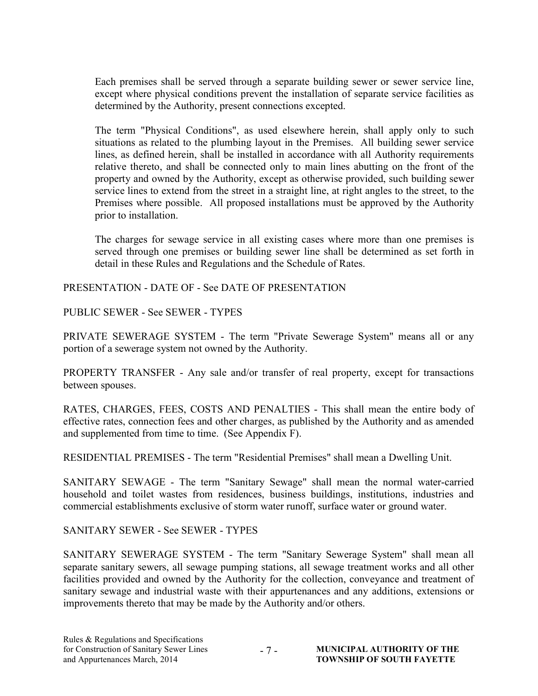Each premises shall be served through a separate building sewer or sewer service line, except where physical conditions prevent the installation of separate service facilities as determined by the Authority, present connections excepted.

 The term "Physical Conditions", as used elsewhere herein, shall apply only to such situations as related to the plumbing layout in the Premises. All building sewer service lines, as defined herein, shall be installed in accordance with all Authority requirements relative thereto, and shall be connected only to main lines abutting on the front of the property and owned by the Authority, except as otherwise provided, such building sewer service lines to extend from the street in a straight line, at right angles to the street, to the Premises where possible. All proposed installations must be approved by the Authority prior to installation.

The charges for sewage service in all existing cases where more than one premises is served through one premises or building sewer line shall be determined as set forth in detail in these Rules and Regulations and the Schedule of Rates.

PRESENTATION - DATE OF - See DATE OF PRESENTATION

PUBLIC SEWER - See SEWER - TYPES

PRIVATE SEWERAGE SYSTEM - The term "Private Sewerage System" means all or any portion of a sewerage system not owned by the Authority.

PROPERTY TRANSFER - Any sale and/or transfer of real property, except for transactions between spouses.

RATES, CHARGES, FEES, COSTS AND PENALTIES - This shall mean the entire body of effective rates, connection fees and other charges, as published by the Authority and as amended and supplemented from time to time. (See Appendix F).

RESIDENTIAL PREMISES - The term "Residential Premises" shall mean a Dwelling Unit.

SANITARY SEWAGE - The term "Sanitary Sewage" shall mean the normal water-carried household and toilet wastes from residences, business buildings, institutions, industries and commercial establishments exclusive of storm water runoff, surface water or ground water.

SANITARY SEWER - See SEWER - TYPES

SANITARY SEWERAGE SYSTEM - The term "Sanitary Sewerage System" shall mean all separate sanitary sewers, all sewage pumping stations, all sewage treatment works and all other facilities provided and owned by the Authority for the collection, conveyance and treatment of sanitary sewage and industrial waste with their appurtenances and any additions, extensions or improvements thereto that may be made by the Authority and/or others.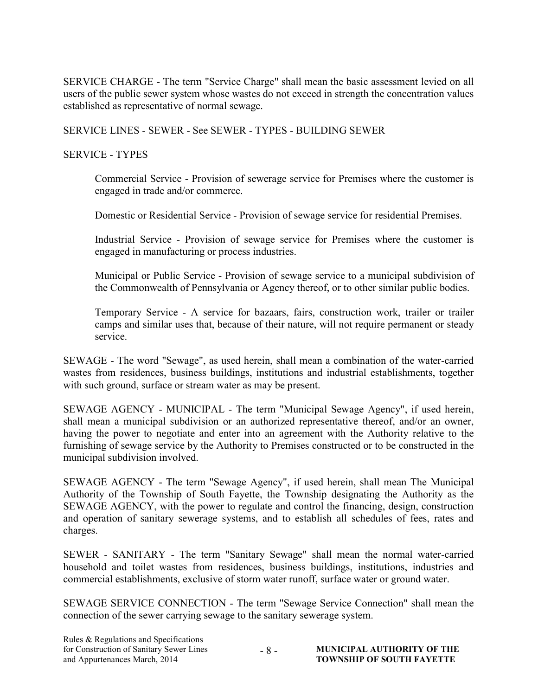SERVICE CHARGE - The term "Service Charge" shall mean the basic assessment levied on all users of the public sewer system whose wastes do not exceed in strength the concentration values established as representative of normal sewage.

SERVICE LINES - SEWER - See SEWER - TYPES - BUILDING SEWER

#### SERVICE - TYPES

Commercial Service - Provision of sewerage service for Premises where the customer is engaged in trade and/or commerce.

Domestic or Residential Service - Provision of sewage service for residential Premises.

Industrial Service - Provision of sewage service for Premises where the customer is engaged in manufacturing or process industries.

Municipal or Public Service - Provision of sewage service to a municipal subdivision of the Commonwealth of Pennsylvania or Agency thereof, or to other similar public bodies.

Temporary Service - A service for bazaars, fairs, construction work, trailer or trailer camps and similar uses that, because of their nature, will not require permanent or steady service.

SEWAGE - The word "Sewage", as used herein, shall mean a combination of the water-carried wastes from residences, business buildings, institutions and industrial establishments, together with such ground, surface or stream water as may be present.

SEWAGE AGENCY - MUNICIPAL - The term "Municipal Sewage Agency", if used herein, shall mean a municipal subdivision or an authorized representative thereof, and/or an owner, having the power to negotiate and enter into an agreement with the Authority relative to the furnishing of sewage service by the Authority to Premises constructed or to be constructed in the municipal subdivision involved.

SEWAGE AGENCY - The term "Sewage Agency", if used herein, shall mean The Municipal Authority of the Township of South Fayette, the Township designating the Authority as the SEWAGE AGENCY, with the power to regulate and control the financing, design, construction and operation of sanitary sewerage systems, and to establish all schedules of fees, rates and charges.

SEWER - SANITARY - The term "Sanitary Sewage" shall mean the normal water-carried household and toilet wastes from residences, business buildings, institutions, industries and commercial establishments, exclusive of storm water runoff, surface water or ground water.

SEWAGE SERVICE CONNECTION - The term "Sewage Service Connection" shall mean the connection of the sewer carrying sewage to the sanitary sewerage system.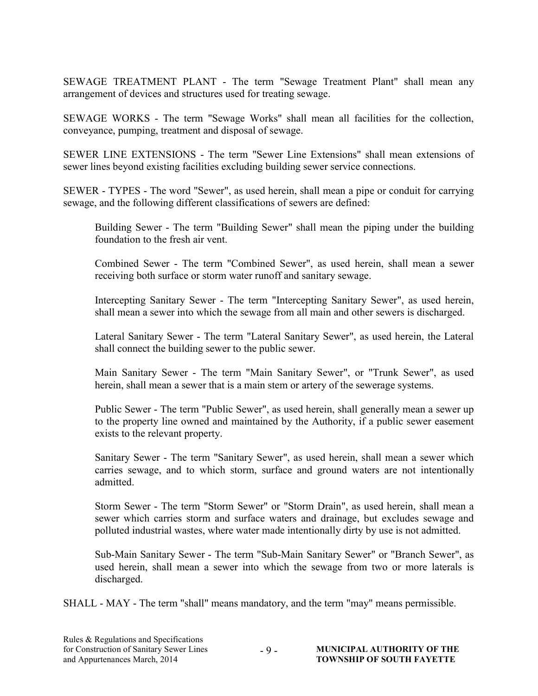SEWAGE TREATMENT PLANT - The term "Sewage Treatment Plant" shall mean any arrangement of devices and structures used for treating sewage.

SEWAGE WORKS - The term "Sewage Works" shall mean all facilities for the collection, conveyance, pumping, treatment and disposal of sewage.

SEWER LINE EXTENSIONS - The term "Sewer Line Extensions" shall mean extensions of sewer lines beyond existing facilities excluding building sewer service connections.

SEWER - TYPES - The word "Sewer", as used herein, shall mean a pipe or conduit for carrying sewage, and the following different classifications of sewers are defined:

Building Sewer - The term "Building Sewer" shall mean the piping under the building foundation to the fresh air vent.

Combined Sewer - The term "Combined Sewer", as used herein, shall mean a sewer receiving both surface or storm water runoff and sanitary sewage.

Intercepting Sanitary Sewer - The term "Intercepting Sanitary Sewer", as used herein, shall mean a sewer into which the sewage from all main and other sewers is discharged.

Lateral Sanitary Sewer - The term "Lateral Sanitary Sewer", as used herein, the Lateral shall connect the building sewer to the public sewer.

Main Sanitary Sewer - The term "Main Sanitary Sewer", or "Trunk Sewer", as used herein, shall mean a sewer that is a main stem or artery of the sewerage systems.

Public Sewer - The term "Public Sewer", as used herein, shall generally mean a sewer up to the property line owned and maintained by the Authority, if a public sewer easement exists to the relevant property.

Sanitary Sewer - The term "Sanitary Sewer", as used herein, shall mean a sewer which carries sewage, and to which storm, surface and ground waters are not intentionally admitted.

Storm Sewer - The term "Storm Sewer" or "Storm Drain", as used herein, shall mean a sewer which carries storm and surface waters and drainage, but excludes sewage and polluted industrial wastes, where water made intentionally dirty by use is not admitted.

Sub-Main Sanitary Sewer - The term "Sub-Main Sanitary Sewer" or "Branch Sewer", as used herein, shall mean a sewer into which the sewage from two or more laterals is discharged.

SHALL - MAY - The term "shall" means mandatory, and the term "may" means permissible.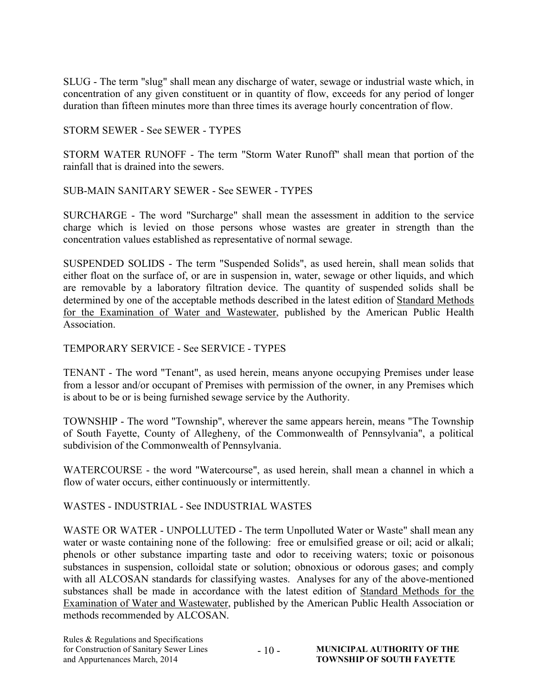SLUG - The term "slug" shall mean any discharge of water, sewage or industrial waste which, in concentration of any given constituent or in quantity of flow, exceeds for any period of longer duration than fifteen minutes more than three times its average hourly concentration of flow.

#### STORM SEWER - See SEWER - TYPES

STORM WATER RUNOFF - The term "Storm Water Runoff" shall mean that portion of the rainfall that is drained into the sewers.

#### SUB-MAIN SANITARY SEWER - See SEWER - TYPES

SURCHARGE - The word "Surcharge" shall mean the assessment in addition to the service charge which is levied on those persons whose wastes are greater in strength than the concentration values established as representative of normal sewage.

SUSPENDED SOLIDS - The term "Suspended Solids", as used herein, shall mean solids that either float on the surface of, or are in suspension in, water, sewage or other liquids, and which are removable by a laboratory filtration device. The quantity of suspended solids shall be determined by one of the acceptable methods described in the latest edition of Standard Methods for the Examination of Water and Wastewater, published by the American Public Health Association.

#### TEMPORARY SERVICE - See SERVICE - TYPES

TENANT - The word "Tenant", as used herein, means anyone occupying Premises under lease from a lessor and/or occupant of Premises with permission of the owner, in any Premises which is about to be or is being furnished sewage service by the Authority.

TOWNSHIP - The word "Township", wherever the same appears herein, means "The Township of South Fayette, County of Allegheny, of the Commonwealth of Pennsylvania", a political subdivision of the Commonwealth of Pennsylvania.

WATERCOURSE - the word "Watercourse", as used herein, shall mean a channel in which a flow of water occurs, either continuously or intermittently.

#### WASTES - INDUSTRIAL - See INDUSTRIAL WASTES

WASTE OR WATER - UNPOLLUTED - The term Unpolluted Water or Waste" shall mean any water or waste containing none of the following: free or emulsified grease or oil; acid or alkali; phenols or other substance imparting taste and odor to receiving waters; toxic or poisonous substances in suspension, colloidal state or solution; obnoxious or odorous gases; and comply with all ALCOSAN standards for classifying wastes. Analyses for any of the above-mentioned substances shall be made in accordance with the latest edition of Standard Methods for the Examination of Water and Wastewater, published by the American Public Health Association or methods recommended by ALCOSAN.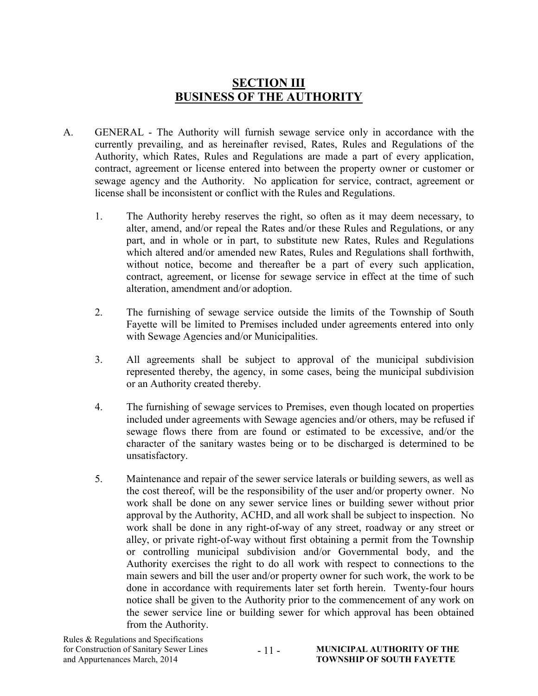## SECTION III BUSINESS OF THE AUTHORITY

- A. GENERAL The Authority will furnish sewage service only in accordance with the currently prevailing, and as hereinafter revised, Rates, Rules and Regulations of the Authority, which Rates, Rules and Regulations are made a part of every application, contract, agreement or license entered into between the property owner or customer or sewage agency and the Authority. No application for service, contract, agreement or license shall be inconsistent or conflict with the Rules and Regulations.
	- 1. The Authority hereby reserves the right, so often as it may deem necessary, to alter, amend, and/or repeal the Rates and/or these Rules and Regulations, or any part, and in whole or in part, to substitute new Rates, Rules and Regulations which altered and/or amended new Rates, Rules and Regulations shall forthwith, without notice, become and thereafter be a part of every such application, contract, agreement, or license for sewage service in effect at the time of such alteration, amendment and/or adoption.
	- 2. The furnishing of sewage service outside the limits of the Township of South Fayette will be limited to Premises included under agreements entered into only with Sewage Agencies and/or Municipalities.
	- 3. All agreements shall be subject to approval of the municipal subdivision represented thereby, the agency, in some cases, being the municipal subdivision or an Authority created thereby.
	- 4. The furnishing of sewage services to Premises, even though located on properties included under agreements with Sewage agencies and/or others, may be refused if sewage flows there from are found or estimated to be excessive, and/or the character of the sanitary wastes being or to be discharged is determined to be unsatisfactory.
	- 5. Maintenance and repair of the sewer service laterals or building sewers, as well as the cost thereof, will be the responsibility of the user and/or property owner. No work shall be done on any sewer service lines or building sewer without prior approval by the Authority, ACHD, and all work shall be subject to inspection. No work shall be done in any right-of-way of any street, roadway or any street or alley, or private right-of-way without first obtaining a permit from the Township or controlling municipal subdivision and/or Governmental body, and the Authority exercises the right to do all work with respect to connections to the main sewers and bill the user and/or property owner for such work, the work to be done in accordance with requirements later set forth herein. Twenty-four hours notice shall be given to the Authority prior to the commencement of any work on the sewer service line or building sewer for which approval has been obtained from the Authority.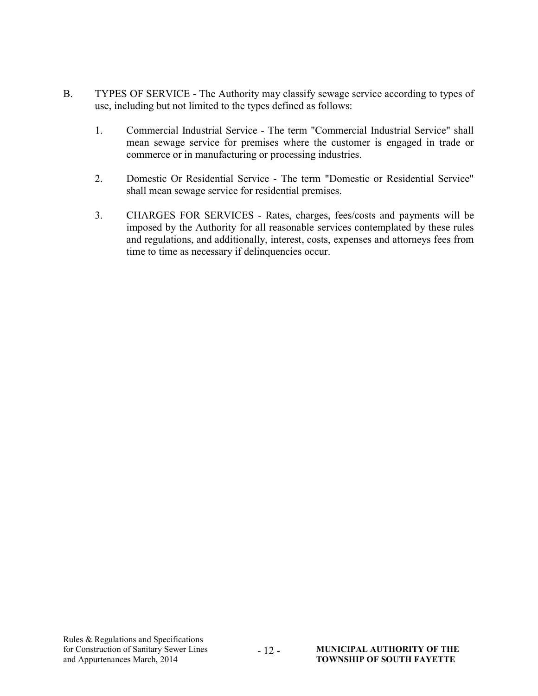- B. TYPES OF SERVICE The Authority may classify sewage service according to types of use, including but not limited to the types defined as follows:
	- 1. Commercial Industrial Service The term "Commercial Industrial Service" shall mean sewage service for premises where the customer is engaged in trade or commerce or in manufacturing or processing industries.
	- 2. Domestic Or Residential Service The term "Domestic or Residential Service" shall mean sewage service for residential premises.
	- 3. CHARGES FOR SERVICES Rates, charges, fees/costs and payments will be imposed by the Authority for all reasonable services contemplated by these rules and regulations, and additionally, interest, costs, expenses and attorneys fees from time to time as necessary if delinquencies occur.

 $-12 -$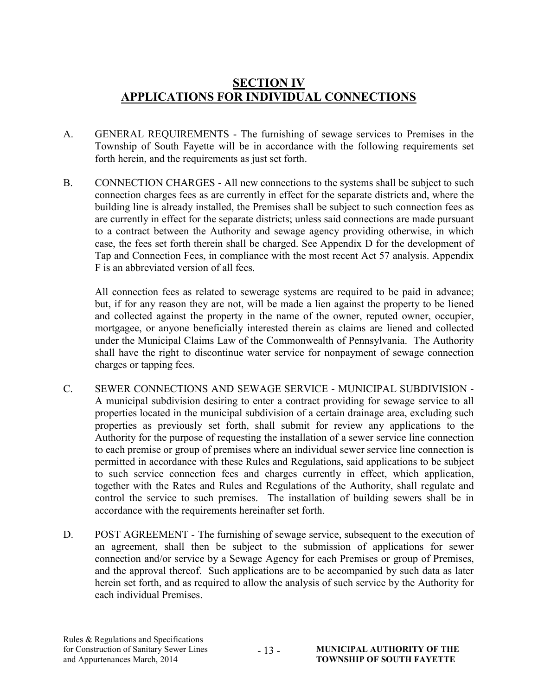## SECTION IV APPLICATIONS FOR INDIVIDUAL CONNECTIONS

- A. GENERAL REQUIREMENTS The furnishing of sewage services to Premises in the Township of South Fayette will be in accordance with the following requirements set forth herein, and the requirements as just set forth.
- B. CONNECTION CHARGES All new connections to the systems shall be subject to such connection charges fees as are currently in effect for the separate districts and, where the building line is already installed, the Premises shall be subject to such connection fees as are currently in effect for the separate districts; unless said connections are made pursuant to a contract between the Authority and sewage agency providing otherwise, in which case, the fees set forth therein shall be charged. See Appendix D for the development of Tap and Connection Fees, in compliance with the most recent Act 57 analysis. Appendix F is an abbreviated version of all fees.

All connection fees as related to sewerage systems are required to be paid in advance; but, if for any reason they are not, will be made a lien against the property to be liened and collected against the property in the name of the owner, reputed owner, occupier, mortgagee, or anyone beneficially interested therein as claims are liened and collected under the Municipal Claims Law of the Commonwealth of Pennsylvania. The Authority shall have the right to discontinue water service for nonpayment of sewage connection charges or tapping fees.

- C. SEWER CONNECTIONS AND SEWAGE SERVICE MUNICIPAL SUBDIVISION A municipal subdivision desiring to enter a contract providing for sewage service to all properties located in the municipal subdivision of a certain drainage area, excluding such properties as previously set forth, shall submit for review any applications to the Authority for the purpose of requesting the installation of a sewer service line connection to each premise or group of premises where an individual sewer service line connection is permitted in accordance with these Rules and Regulations, said applications to be subject to such service connection fees and charges currently in effect, which application, together with the Rates and Rules and Regulations of the Authority, shall regulate and control the service to such premises. The installation of building sewers shall be in accordance with the requirements hereinafter set forth.
- D. POST AGREEMENT The furnishing of sewage service, subsequent to the execution of an agreement, shall then be subject to the submission of applications for sewer connection and/or service by a Sewage Agency for each Premises or group of Premises, and the approval thereof. Such applications are to be accompanied by such data as later herein set forth, and as required to allow the analysis of such service by the Authority for each individual Premises.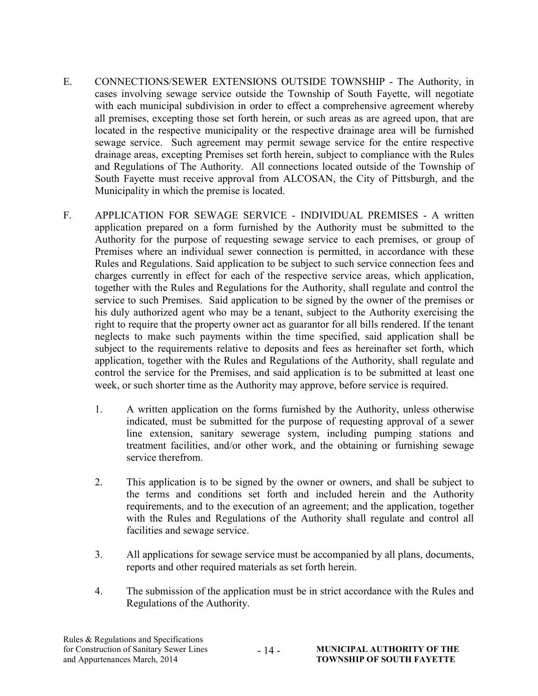- E. CONNECTIONS/SEWER EXTENSIONS OUTSIDE TOWNSHIP The Authority, in cases involving sewage service outside the Township of South Fayette, will negotiate with each municipal subdivision in order to effect a comprehensive agreement whereby all premises, excepting those set forth herein, or such areas as are agreed upon, that are located in the respective municipality or the respective drainage area will be furnished sewage service. Such agreement may permit sewage service for the entire respective drainage areas, excepting Premises set forth herein, subject to compliance with the Rules and Regulations of The Authority. All connections located outside of the Township of South Fayette must receive approval from ALCOSAN, the City of Pittsburgh, and the Municipality in which the premise is located.
- F. APPLICATION FOR SEWAGE SERVICE INDIVIDUAL PREMISES A written application prepared on a form furnished by the Authority must be submitted to the Authority for the purpose of requesting sewage service to each premises, or group of Premises where an individual sewer connection is permitted, in accordance with these Rules and Regulations. Said application to be subject to such service connection fees and charges currently in effect for each of the respective service areas, which application, together with the Rules and Regulations for the Authority, shall regulate and control the service to such Premises. Said application to be signed by the owner of the premises or his duly authorized agent who may be a tenant, subject to the Authority exercising the right to require that the property owner act as guarantor for all bills rendered. If the tenant neglects to make such payments within the time specified, said application shall be subject to the requirements relative to deposits and fees as hereinafter set forth, which application, together with the Rules and Regulations of the Authority, shall regulate and control the service for the Premises, and said application is to be submitted at least one week, or such shorter time as the Authority may approve, before service is required.
	- 1. A written application on the forms furnished by the Authority, unless otherwise indicated, must be submitted for the purpose of requesting approval of a sewer line extension, sanitary sewerage system, including pumping stations and treatment facilities, and/or other work, and the obtaining or furnishing sewage service therefrom.
	- 2. This application is to be signed by the owner or owners, and shall be subject to the terms and conditions set forth and included herein and the Authority requirements, and to the execution of an agreement; and the application, together with the Rules and Regulations of the Authority shall regulate and control all facilities and sewage service.
	- 3. All applications for sewage service must be accompanied by all plans, documents, reports and other required materials as set forth herein.
	- 4. The submission of the application must be in strict accordance with the Rules and Regulations of the Authority.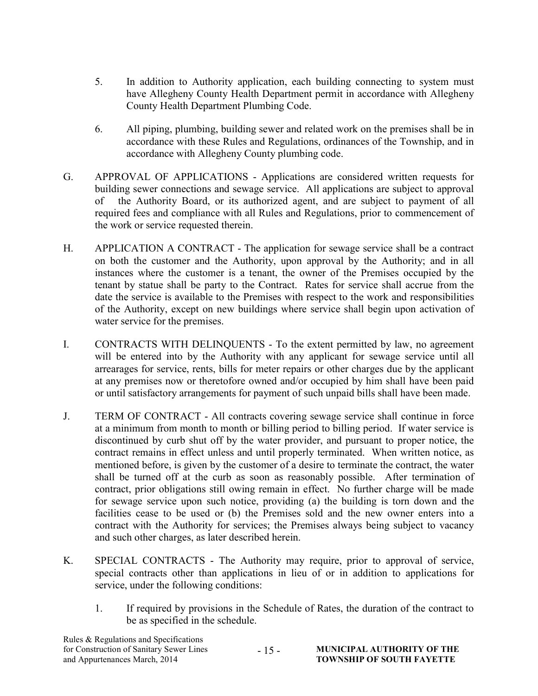- 5. In addition to Authority application, each building connecting to system must have Allegheny County Health Department permit in accordance with Allegheny County Health Department Plumbing Code.
- 6. All piping, plumbing, building sewer and related work on the premises shall be in accordance with these Rules and Regulations, ordinances of the Township, and in accordance with Allegheny County plumbing code.
- G. APPROVAL OF APPLICATIONS Applications are considered written requests for building sewer connections and sewage service. All applications are subject to approval of the Authority Board, or its authorized agent, and are subject to payment of all required fees and compliance with all Rules and Regulations, prior to commencement of the work or service requested therein.
- H. APPLICATION A CONTRACT The application for sewage service shall be a contract on both the customer and the Authority, upon approval by the Authority; and in all instances where the customer is a tenant, the owner of the Premises occupied by the tenant by statue shall be party to the Contract. Rates for service shall accrue from the date the service is available to the Premises with respect to the work and responsibilities of the Authority, except on new buildings where service shall begin upon activation of water service for the premises.
- I. CONTRACTS WITH DELINQUENTS To the extent permitted by law, no agreement will be entered into by the Authority with any applicant for sewage service until all arrearages for service, rents, bills for meter repairs or other charges due by the applicant at any premises now or theretofore owned and/or occupied by him shall have been paid or until satisfactory arrangements for payment of such unpaid bills shall have been made.
- J. TERM OF CONTRACT All contracts covering sewage service shall continue in force at a minimum from month to month or billing period to billing period. If water service is discontinued by curb shut off by the water provider, and pursuant to proper notice, the contract remains in effect unless and until properly terminated. When written notice, as mentioned before, is given by the customer of a desire to terminate the contract, the water shall be turned off at the curb as soon as reasonably possible. After termination of contract, prior obligations still owing remain in effect. No further charge will be made for sewage service upon such notice, providing (a) the building is torn down and the facilities cease to be used or (b) the Premises sold and the new owner enters into a contract with the Authority for services; the Premises always being subject to vacancy and such other charges, as later described herein.
- K. SPECIAL CONTRACTS The Authority may require, prior to approval of service, special contracts other than applications in lieu of or in addition to applications for service, under the following conditions:
	- 1. If required by provisions in the Schedule of Rates, the duration of the contract to be as specified in the schedule.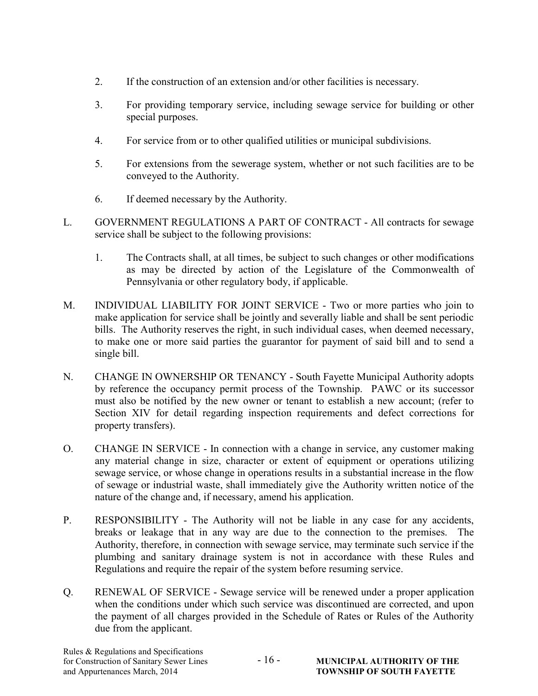- 2. If the construction of an extension and/or other facilities is necessary.
- 3. For providing temporary service, including sewage service for building or other special purposes.
- 4. For service from or to other qualified utilities or municipal subdivisions.
- 5. For extensions from the sewerage system, whether or not such facilities are to be conveyed to the Authority.
- 6. If deemed necessary by the Authority.
- L. GOVERNMENT REGULATIONS A PART OF CONTRACT All contracts for sewage service shall be subject to the following provisions:
	- 1. The Contracts shall, at all times, be subject to such changes or other modifications as may be directed by action of the Legislature of the Commonwealth of Pennsylvania or other regulatory body, if applicable.
- M. INDIVIDUAL LIABILITY FOR JOINT SERVICE Two or more parties who join to make application for service shall be jointly and severally liable and shall be sent periodic bills. The Authority reserves the right, in such individual cases, when deemed necessary, to make one or more said parties the guarantor for payment of said bill and to send a single bill.
- N. CHANGE IN OWNERSHIP OR TENANCY South Fayette Municipal Authority adopts by reference the occupancy permit process of the Township. PAWC or its successor must also be notified by the new owner or tenant to establish a new account; (refer to Section XIV for detail regarding inspection requirements and defect corrections for property transfers).
- O. CHANGE IN SERVICE In connection with a change in service, any customer making any material change in size, character or extent of equipment or operations utilizing sewage service, or whose change in operations results in a substantial increase in the flow of sewage or industrial waste, shall immediately give the Authority written notice of the nature of the change and, if necessary, amend his application.
- P. RESPONSIBILITY The Authority will not be liable in any case for any accidents, breaks or leakage that in any way are due to the connection to the premises. The Authority, therefore, in connection with sewage service, may terminate such service if the plumbing and sanitary drainage system is not in accordance with these Rules and Regulations and require the repair of the system before resuming service.
- Q. RENEWAL OF SERVICE Sewage service will be renewed under a proper application when the conditions under which such service was discontinued are corrected, and upon the payment of all charges provided in the Schedule of Rates or Rules of the Authority due from the applicant.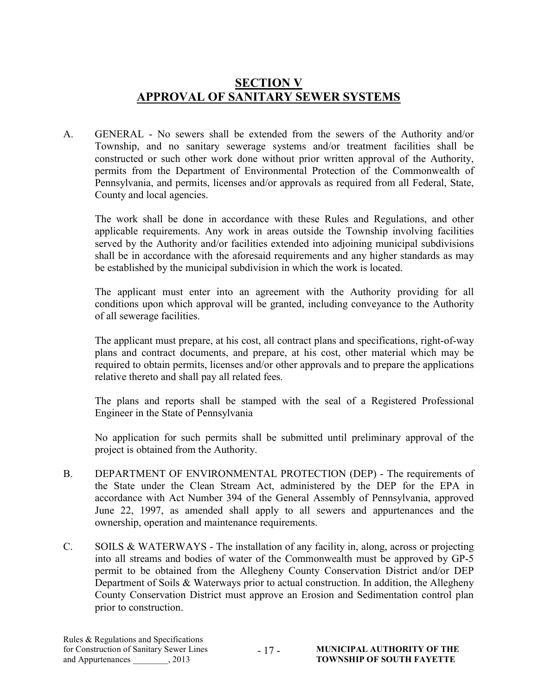## SECTION V APPROVAL OF SANITARY SEWER SYSTEMS

A. GENERAL - No sewers shall be extended from the sewers of the Authority and/or Township, and no sanitary sewerage systems and/or treatment facilities shall be constructed or such other work done without prior written approval of the Authority, permits from the Department of Environmental Protection of the Commonwealth of Pennsylvania, and permits, licenses and/or approvals as required from all Federal, State, County and local agencies.

 The work shall be done in accordance with these Rules and Regulations, and other applicable requirements. Any work in areas outside the Township involving facilities served by the Authority and/or facilities extended into adjoining municipal subdivisions shall be in accordance with the aforesaid requirements and any higher standards as may be established by the municipal subdivision in which the work is located.

The applicant must enter into an agreement with the Authority providing for all conditions upon which approval will be granted, including conveyance to the Authority of all sewerage facilities.

The applicant must prepare, at his cost, all contract plans and specifications, right-of-way plans and contract documents, and prepare, at his cost, other material which may be required to obtain permits, licenses and/or other approvals and to prepare the applications relative thereto and shall pay all related fees.

The plans and reports shall be stamped with the seal of a Registered Professional Engineer in the State of Pennsylvania

No application for such permits shall be submitted until preliminary approval of the project is obtained from the Authority.

- B. DEPARTMENT OF ENVIRONMENTAL PROTECTION (DEP) The requirements of the State under the Clean Stream Act, administered by the DEP for the EPA in accordance with Act Number 394 of the General Assembly of Pennsylvania, approved June 22, 1997, as amended shall apply to all sewers and appurtenances and the ownership, operation and maintenance requirements.
- C. SOILS & WATERWAYS The installation of any facility in, along, across or projecting into all streams and bodies of water of the Commonwealth must be approved by GP-5 permit to be obtained from the Allegheny County Conservation District and/or DEP Department of Soils & Waterways prior to actual construction. In addition, the Allegheny County Conservation District must approve an Erosion and Sedimentation control plan prior to construction.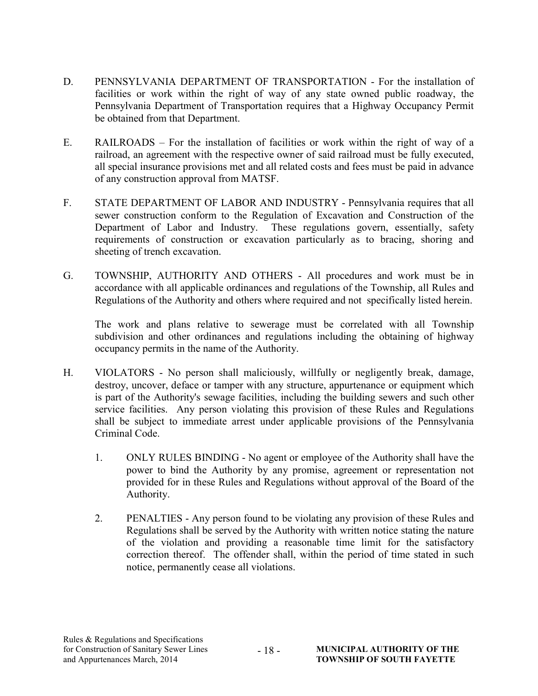- D. PENNSYLVANIA DEPARTMENT OF TRANSPORTATION For the installation of facilities or work within the right of way of any state owned public roadway, the Pennsylvania Department of Transportation requires that a Highway Occupancy Permit be obtained from that Department.
- E. RAILROADS For the installation of facilities or work within the right of way of a railroad, an agreement with the respective owner of said railroad must be fully executed, all special insurance provisions met and all related costs and fees must be paid in advance of any construction approval from MATSF.
- F. STATE DEPARTMENT OF LABOR AND INDUSTRY Pennsylvania requires that all sewer construction conform to the Regulation of Excavation and Construction of the Department of Labor and Industry. These regulations govern, essentially, safety requirements of construction or excavation particularly as to bracing, shoring and sheeting of trench excavation.
- G. TOWNSHIP, AUTHORITY AND OTHERS All procedures and work must be in accordance with all applicable ordinances and regulations of the Township, all Rules and Regulations of the Authority and others where required and not specifically listed herein.

 The work and plans relative to sewerage must be correlated with all Township subdivision and other ordinances and regulations including the obtaining of highway occupancy permits in the name of the Authority.

- H. VIOLATORS No person shall maliciously, willfully or negligently break, damage, destroy, uncover, deface or tamper with any structure, appurtenance or equipment which is part of the Authority's sewage facilities, including the building sewers and such other service facilities. Any person violating this provision of these Rules and Regulations shall be subject to immediate arrest under applicable provisions of the Pennsylvania Criminal Code.
	- 1. ONLY RULES BINDING No agent or employee of the Authority shall have the power to bind the Authority by any promise, agreement or representation not provided for in these Rules and Regulations without approval of the Board of the Authority.
	- 2. PENALTIES Any person found to be violating any provision of these Rules and Regulations shall be served by the Authority with written notice stating the nature of the violation and providing a reasonable time limit for the satisfactory correction thereof. The offender shall, within the period of time stated in such notice, permanently cease all violations.

- 18 -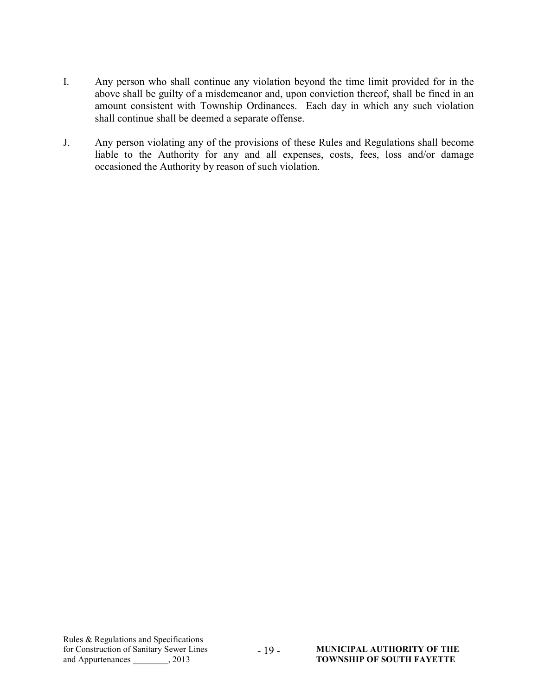- I. Any person who shall continue any violation beyond the time limit provided for in the above shall be guilty of a misdemeanor and, upon conviction thereof, shall be fined in an amount consistent with Township Ordinances. Each day in which any such violation shall continue shall be deemed a separate offense.
- J. Any person violating any of the provisions of these Rules and Regulations shall become liable to the Authority for any and all expenses, costs, fees, loss and/or damage occasioned the Authority by reason of such violation.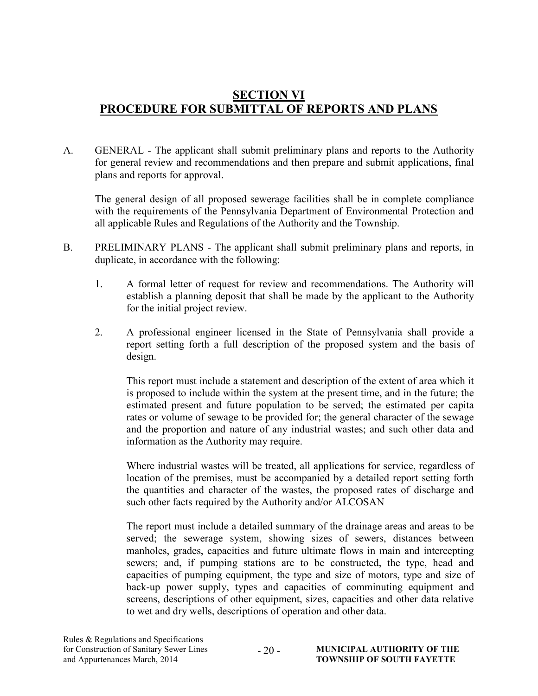## SECTION VI PROCEDURE FOR SUBMITTAL OF REPORTS AND PLANS

A. GENERAL - The applicant shall submit preliminary plans and reports to the Authority for general review and recommendations and then prepare and submit applications, final plans and reports for approval.

The general design of all proposed sewerage facilities shall be in complete compliance with the requirements of the Pennsylvania Department of Environmental Protection and all applicable Rules and Regulations of the Authority and the Township.

- B. PRELIMINARY PLANS The applicant shall submit preliminary plans and reports, in duplicate, in accordance with the following:
	- 1. A formal letter of request for review and recommendations. The Authority will establish a planning deposit that shall be made by the applicant to the Authority for the initial project review.
	- 2. A professional engineer licensed in the State of Pennsylvania shall provide a report setting forth a full description of the proposed system and the basis of design.

This report must include a statement and description of the extent of area which it is proposed to include within the system at the present time, and in the future; the estimated present and future population to be served; the estimated per capita rates or volume of sewage to be provided for; the general character of the sewage and the proportion and nature of any industrial wastes; and such other data and information as the Authority may require.

Where industrial wastes will be treated, all applications for service, regardless of location of the premises, must be accompanied by a detailed report setting forth the quantities and character of the wastes, the proposed rates of discharge and such other facts required by the Authority and/or ALCOSAN

The report must include a detailed summary of the drainage areas and areas to be served; the sewerage system, showing sizes of sewers, distances between manholes, grades, capacities and future ultimate flows in main and intercepting sewers; and, if pumping stations are to be constructed, the type, head and capacities of pumping equipment, the type and size of motors, type and size of back-up power supply, types and capacities of comminuting equipment and screens, descriptions of other equipment, sizes, capacities and other data relative to wet and dry wells, descriptions of operation and other data.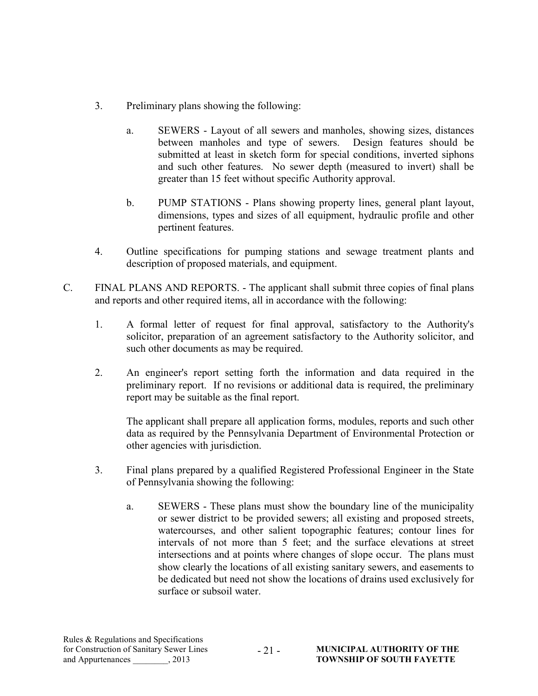- 3. Preliminary plans showing the following:
	- a. SEWERS Layout of all sewers and manholes, showing sizes, distances between manholes and type of sewers. Design features should be submitted at least in sketch form for special conditions, inverted siphons and such other features. No sewer depth (measured to invert) shall be greater than 15 feet without specific Authority approval.
	- b. PUMP STATIONS Plans showing property lines, general plant layout, dimensions, types and sizes of all equipment, hydraulic profile and other pertinent features.
- 4. Outline specifications for pumping stations and sewage treatment plants and description of proposed materials, and equipment.
- C. FINAL PLANS AND REPORTS. The applicant shall submit three copies of final plans and reports and other required items, all in accordance with the following:
	- 1. A formal letter of request for final approval, satisfactory to the Authority's solicitor, preparation of an agreement satisfactory to the Authority solicitor, and such other documents as may be required.
	- 2. An engineer's report setting forth the information and data required in the preliminary report. If no revisions or additional data is required, the preliminary report may be suitable as the final report.

 The applicant shall prepare all application forms, modules, reports and such other data as required by the Pennsylvania Department of Environmental Protection or other agencies with jurisdiction.

- 3. Final plans prepared by a qualified Registered Professional Engineer in the State of Pennsylvania showing the following:
	- a. SEWERS These plans must show the boundary line of the municipality or sewer district to be provided sewers; all existing and proposed streets, watercourses, and other salient topographic features; contour lines for intervals of not more than 5 feet; and the surface elevations at street intersections and at points where changes of slope occur. The plans must show clearly the locations of all existing sanitary sewers, and easements to be dedicated but need not show the locations of drains used exclusively for surface or subsoil water.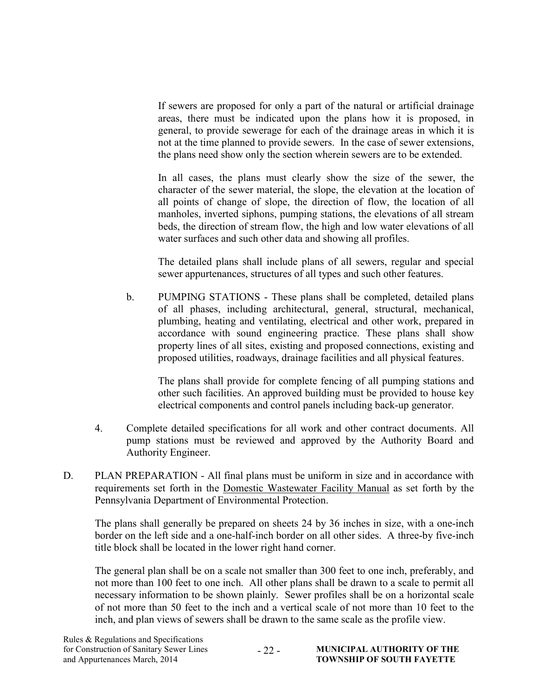If sewers are proposed for only a part of the natural or artificial drainage areas, there must be indicated upon the plans how it is proposed, in general, to provide sewerage for each of the drainage areas in which it is not at the time planned to provide sewers. In the case of sewer extensions, the plans need show only the section wherein sewers are to be extended.

In all cases, the plans must clearly show the size of the sewer, the character of the sewer material, the slope, the elevation at the location of all points of change of slope, the direction of flow, the location of all manholes, inverted siphons, pumping stations, the elevations of all stream beds, the direction of stream flow, the high and low water elevations of all water surfaces and such other data and showing all profiles.

The detailed plans shall include plans of all sewers, regular and special sewer appurtenances, structures of all types and such other features.

b. PUMPING STATIONS - These plans shall be completed, detailed plans of all phases, including architectural, general, structural, mechanical, plumbing, heating and ventilating, electrical and other work, prepared in accordance with sound engineering practice. These plans shall show property lines of all sites, existing and proposed connections, existing and proposed utilities, roadways, drainage facilities and all physical features.

The plans shall provide for complete fencing of all pumping stations and other such facilities. An approved building must be provided to house key electrical components and control panels including back-up generator.

- 4. Complete detailed specifications for all work and other contract documents. All pump stations must be reviewed and approved by the Authority Board and Authority Engineer.
- D. PLAN PREPARATION All final plans must be uniform in size and in accordance with requirements set forth in the Domestic Wastewater Facility Manual as set forth by the Pennsylvania Department of Environmental Protection.

The plans shall generally be prepared on sheets 24 by 36 inches in size, with a one-inch border on the left side and a one-half-inch border on all other sides. A three-by five-inch title block shall be located in the lower right hand corner.

The general plan shall be on a scale not smaller than 300 feet to one inch, preferably, and not more than 100 feet to one inch. All other plans shall be drawn to a scale to permit all necessary information to be shown plainly. Sewer profiles shall be on a horizontal scale of not more than 50 feet to the inch and a vertical scale of not more than 10 feet to the inch, and plan views of sewers shall be drawn to the same scale as the profile view.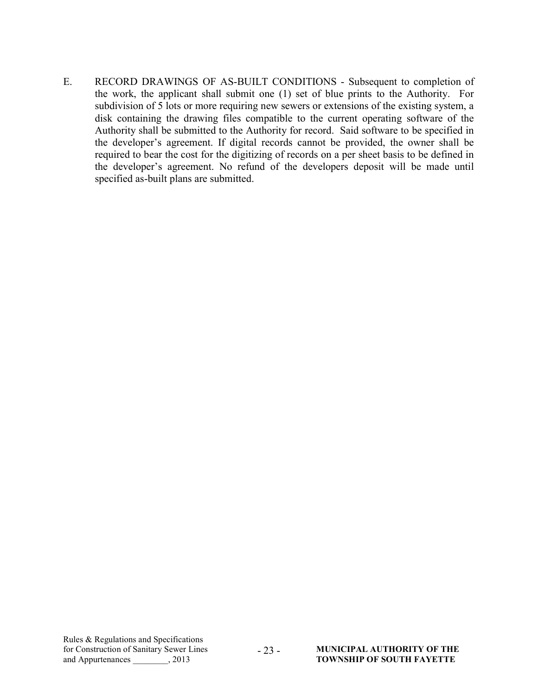E. RECORD DRAWINGS OF AS-BUILT CONDITIONS - Subsequent to completion of the work, the applicant shall submit one (1) set of blue prints to the Authority. For subdivision of 5 lots or more requiring new sewers or extensions of the existing system, a disk containing the drawing files compatible to the current operating software of the Authority shall be submitted to the Authority for record. Said software to be specified in the developer's agreement. If digital records cannot be provided, the owner shall be required to bear the cost for the digitizing of records on a per sheet basis to be defined in the developer's agreement. No refund of the developers deposit will be made until specified as-built plans are submitted.

- 23 -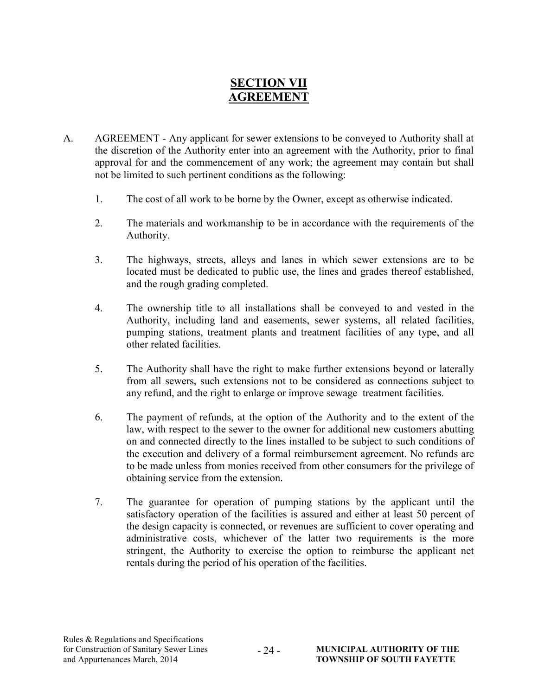## SECTION VII AGREEMENT

- A. AGREEMENT Any applicant for sewer extensions to be conveyed to Authority shall at the discretion of the Authority enter into an agreement with the Authority, prior to final approval for and the commencement of any work; the agreement may contain but shall not be limited to such pertinent conditions as the following:
	- 1. The cost of all work to be borne by the Owner, except as otherwise indicated.
	- 2. The materials and workmanship to be in accordance with the requirements of the Authority.
	- 3. The highways, streets, alleys and lanes in which sewer extensions are to be located must be dedicated to public use, the lines and grades thereof established, and the rough grading completed.
	- 4. The ownership title to all installations shall be conveyed to and vested in the Authority, including land and easements, sewer systems, all related facilities, pumping stations, treatment plants and treatment facilities of any type, and all other related facilities.
	- 5. The Authority shall have the right to make further extensions beyond or laterally from all sewers, such extensions not to be considered as connections subject to any refund, and the right to enlarge or improve sewage treatment facilities.
	- 6. The payment of refunds, at the option of the Authority and to the extent of the law, with respect to the sewer to the owner for additional new customers abutting on and connected directly to the lines installed to be subject to such conditions of the execution and delivery of a formal reimbursement agreement. No refunds are to be made unless from monies received from other consumers for the privilege of obtaining service from the extension.
	- 7. The guarantee for operation of pumping stations by the applicant until the satisfactory operation of the facilities is assured and either at least 50 percent of the design capacity is connected, or revenues are sufficient to cover operating and administrative costs, whichever of the latter two requirements is the more stringent, the Authority to exercise the option to reimburse the applicant net rentals during the period of his operation of the facilities.

 $-24-$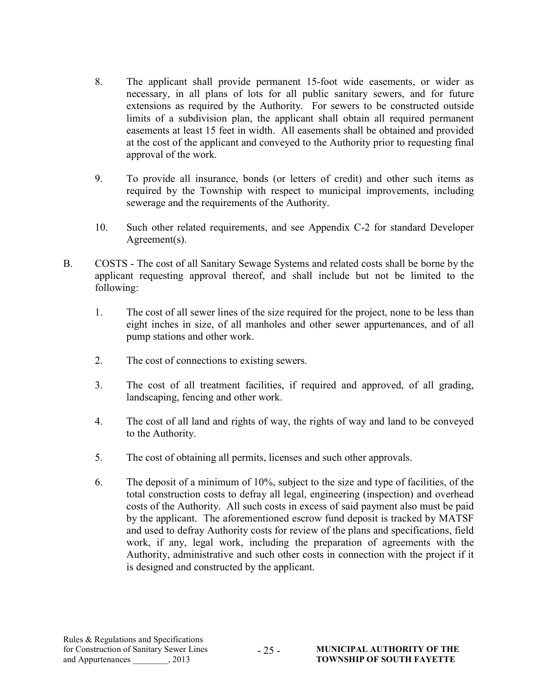- 8. The applicant shall provide permanent 15-foot wide easements, or wider as necessary, in all plans of lots for all public sanitary sewers, and for future extensions as required by the Authority. For sewers to be constructed outside limits of a subdivision plan, the applicant shall obtain all required permanent easements at least 15 feet in width. All easements shall be obtained and provided at the cost of the applicant and conveyed to the Authority prior to requesting final approval of the work.
- 9. To provide all insurance, bonds (or letters of credit) and other such items as required by the Township with respect to municipal improvements, including sewerage and the requirements of the Authority.
- 10. Such other related requirements, and see Appendix C-2 for standard Developer Agreement(s).
- B. COSTS The cost of all Sanitary Sewage Systems and related costs shall be borne by the applicant requesting approval thereof, and shall include but not be limited to the following:
	- 1. The cost of all sewer lines of the size required for the project, none to be less than eight inches in size, of all manholes and other sewer appurtenances, and of all pump stations and other work.
	- 2. The cost of connections to existing sewers.
	- 3. The cost of all treatment facilities, if required and approved, of all grading, landscaping, fencing and other work.
	- 4. The cost of all land and rights of way, the rights of way and land to be conveyed to the Authority.
	- 5. The cost of obtaining all permits, licenses and such other approvals.
	- 6. The deposit of a minimum of 10%, subject to the size and type of facilities, of the total construction costs to defray all legal, engineering (inspection) and overhead costs of the Authority. All such costs in excess of said payment also must be paid by the applicant. The aforementioned escrow fund deposit is tracked by MATSF and used to defray Authority costs for review of the plans and specifications, field work, if any, legal work, including the preparation of agreements with the Authority, administrative and such other costs in connection with the project if it is designed and constructed by the applicant.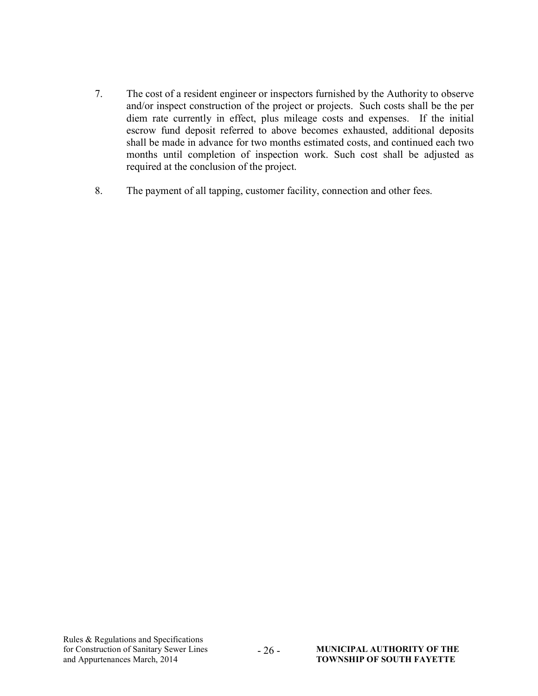- 7. The cost of a resident engineer or inspectors furnished by the Authority to observe and/or inspect construction of the project or projects. Such costs shall be the per diem rate currently in effect, plus mileage costs and expenses. If the initial escrow fund deposit referred to above becomes exhausted, additional deposits shall be made in advance for two months estimated costs, and continued each two months until completion of inspection work. Such cost shall be adjusted as required at the conclusion of the project.
- 8. The payment of all tapping, customer facility, connection and other fees.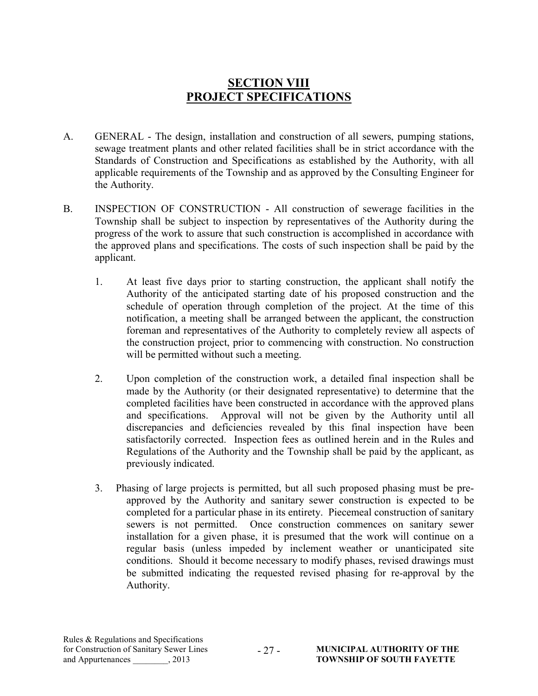## SECTION VIII PROJECT SPECIFICATIONS

- A. GENERAL The design, installation and construction of all sewers, pumping stations, sewage treatment plants and other related facilities shall be in strict accordance with the Standards of Construction and Specifications as established by the Authority, with all applicable requirements of the Township and as approved by the Consulting Engineer for the Authority.
- B. INSPECTION OF CONSTRUCTION All construction of sewerage facilities in the Township shall be subject to inspection by representatives of the Authority during the progress of the work to assure that such construction is accomplished in accordance with the approved plans and specifications. The costs of such inspection shall be paid by the applicant.
	- 1. At least five days prior to starting construction, the applicant shall notify the Authority of the anticipated starting date of his proposed construction and the schedule of operation through completion of the project. At the time of this notification, a meeting shall be arranged between the applicant, the construction foreman and representatives of the Authority to completely review all aspects of the construction project, prior to commencing with construction. No construction will be permitted without such a meeting.
	- 2. Upon completion of the construction work, a detailed final inspection shall be made by the Authority (or their designated representative) to determine that the completed facilities have been constructed in accordance with the approved plans and specifications. Approval will not be given by the Authority until all discrepancies and deficiencies revealed by this final inspection have been satisfactorily corrected. Inspection fees as outlined herein and in the Rules and Regulations of the Authority and the Township shall be paid by the applicant, as previously indicated.
	- 3. Phasing of large projects is permitted, but all such proposed phasing must be preapproved by the Authority and sanitary sewer construction is expected to be completed for a particular phase in its entirety. Piecemeal construction of sanitary sewers is not permitted. Once construction commences on sanitary sewer installation for a given phase, it is presumed that the work will continue on a regular basis (unless impeded by inclement weather or unanticipated site conditions. Should it become necessary to modify phases, revised drawings must be submitted indicating the requested revised phasing for re-approval by the Authority.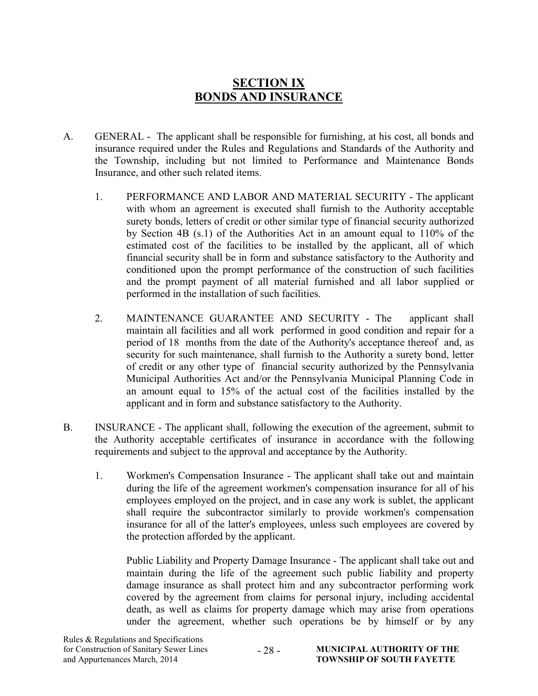## SECTION IX BONDS AND INSURANCE

- A. GENERAL The applicant shall be responsible for furnishing, at his cost, all bonds and insurance required under the Rules and Regulations and Standards of the Authority and the Township, including but not limited to Performance and Maintenance Bonds Insurance, and other such related items.
	- 1. PERFORMANCE AND LABOR AND MATERIAL SECURITY The applicant with whom an agreement is executed shall furnish to the Authority acceptable surety bonds, letters of credit or other similar type of financial security authorized by Section 4B (s.1) of the Authorities Act in an amount equal to 110% of the estimated cost of the facilities to be installed by the applicant, all of which financial security shall be in form and substance satisfactory to the Authority and conditioned upon the prompt performance of the construction of such facilities and the prompt payment of all material furnished and all labor supplied or performed in the installation of such facilities.
	- 2. MAINTENANCE GUARANTEE AND SECURITY The applicant shall maintain all facilities and all work performed in good condition and repair for a period of 18 months from the date of the Authority's acceptance thereof and, as security for such maintenance, shall furnish to the Authority a surety bond, letter of credit or any other type of financial security authorized by the Pennsylvania Municipal Authorities Act and/or the Pennsylvania Municipal Planning Code in an amount equal to 15% of the actual cost of the facilities installed by the applicant and in form and substance satisfactory to the Authority.
- B. INSURANCE The applicant shall, following the execution of the agreement, submit to the Authority acceptable certificates of insurance in accordance with the following requirements and subject to the approval and acceptance by the Authority.
	- 1. Workmen's Compensation Insurance The applicant shall take out and maintain during the life of the agreement workmen's compensation insurance for all of his employees employed on the project, and in case any work is sublet, the applicant shall require the subcontractor similarly to provide workmen's compensation insurance for all of the latter's employees, unless such employees are covered by the protection afforded by the applicant.

Public Liability and Property Damage Insurance - The applicant shall take out and maintain during the life of the agreement such public liability and property damage insurance as shall protect him and any subcontractor performing work covered by the agreement from claims for personal injury, including accidental death, as well as claims for property damage which may arise from operations under the agreement, whether such operations be by himself or by any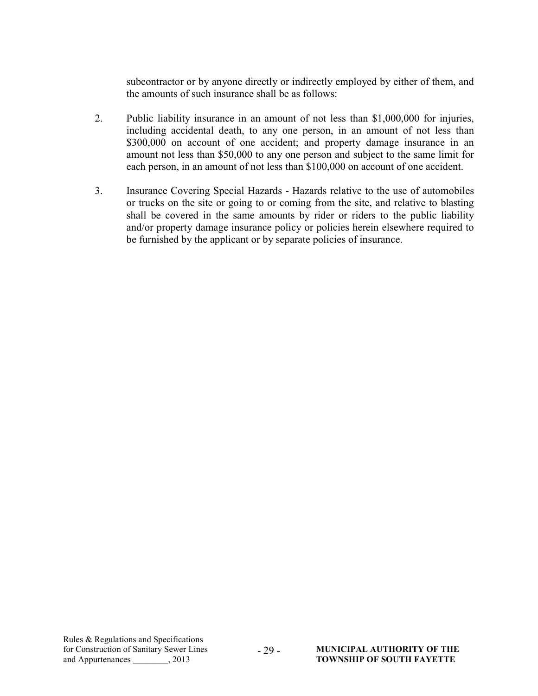subcontractor or by anyone directly or indirectly employed by either of them, and the amounts of such insurance shall be as follows:

- 2. Public liability insurance in an amount of not less than \$1,000,000 for injuries, including accidental death, to any one person, in an amount of not less than \$300,000 on account of one accident; and property damage insurance in an amount not less than \$50,000 to any one person and subject to the same limit for each person, in an amount of not less than \$100,000 on account of one accident.
- 3. Insurance Covering Special Hazards Hazards relative to the use of automobiles or trucks on the site or going to or coming from the site, and relative to blasting shall be covered in the same amounts by rider or riders to the public liability and/or property damage insurance policy or policies herein elsewhere required to be furnished by the applicant or by separate policies of insurance.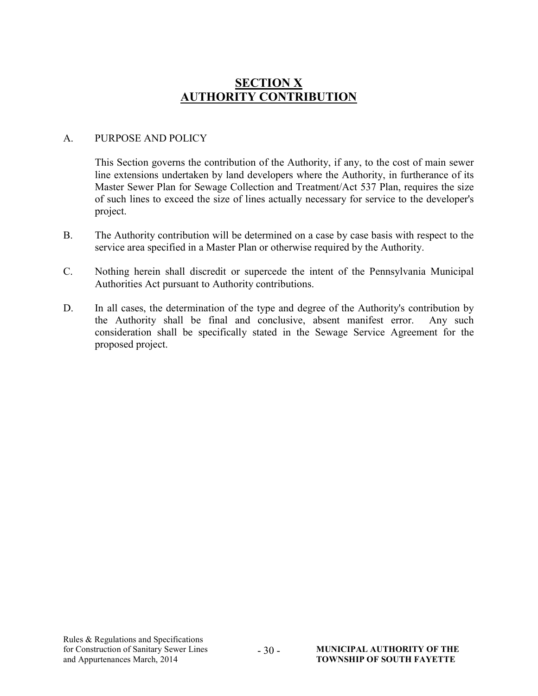## **SECTION X** AUTHORITY CONTRIBUTION

#### A. PURPOSE AND POLICY

This Section governs the contribution of the Authority, if any, to the cost of main sewer line extensions undertaken by land developers where the Authority, in furtherance of its Master Sewer Plan for Sewage Collection and Treatment/Act 537 Plan, requires the size of such lines to exceed the size of lines actually necessary for service to the developer's project.

- B. The Authority contribution will be determined on a case by case basis with respect to the service area specified in a Master Plan or otherwise required by the Authority.
- C. Nothing herein shall discredit or supercede the intent of the Pennsylvania Municipal Authorities Act pursuant to Authority contributions.
- D. In all cases, the determination of the type and degree of the Authority's contribution by the Authority shall be final and conclusive, absent manifest error. Any such consideration shall be specifically stated in the Sewage Service Agreement for the proposed project.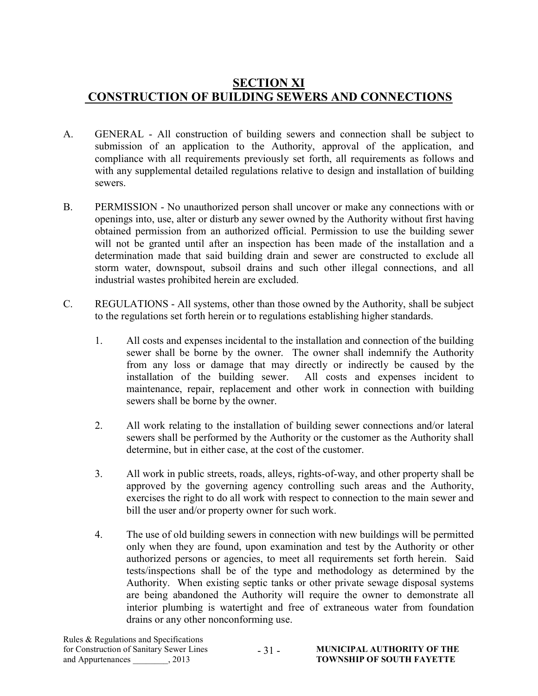## SECTION XI CONSTRUCTION OF BUILDING SEWERS AND CONNECTIONS

- A. GENERAL All construction of building sewers and connection shall be subject to submission of an application to the Authority, approval of the application, and compliance with all requirements previously set forth, all requirements as follows and with any supplemental detailed regulations relative to design and installation of building sewers.
- B. PERMISSION No unauthorized person shall uncover or make any connections with or openings into, use, alter or disturb any sewer owned by the Authority without first having obtained permission from an authorized official. Permission to use the building sewer will not be granted until after an inspection has been made of the installation and a determination made that said building drain and sewer are constructed to exclude all storm water, downspout, subsoil drains and such other illegal connections, and all industrial wastes prohibited herein are excluded.
- C. REGULATIONS All systems, other than those owned by the Authority, shall be subject to the regulations set forth herein or to regulations establishing higher standards.
	- 1. All costs and expenses incidental to the installation and connection of the building sewer shall be borne by the owner. The owner shall indemnify the Authority from any loss or damage that may directly or indirectly be caused by the installation of the building sewer. All costs and expenses incident to maintenance, repair, replacement and other work in connection with building sewers shall be borne by the owner.
	- 2. All work relating to the installation of building sewer connections and/or lateral sewers shall be performed by the Authority or the customer as the Authority shall determine, but in either case, at the cost of the customer.
	- 3. All work in public streets, roads, alleys, rights-of-way, and other property shall be approved by the governing agency controlling such areas and the Authority, exercises the right to do all work with respect to connection to the main sewer and bill the user and/or property owner for such work.
	- 4. The use of old building sewers in connection with new buildings will be permitted only when they are found, upon examination and test by the Authority or other authorized persons or agencies, to meet all requirements set forth herein. Said tests/inspections shall be of the type and methodology as determined by the Authority. When existing septic tanks or other private sewage disposal systems are being abandoned the Authority will require the owner to demonstrate all interior plumbing is watertight and free of extraneous water from foundation drains or any other nonconforming use.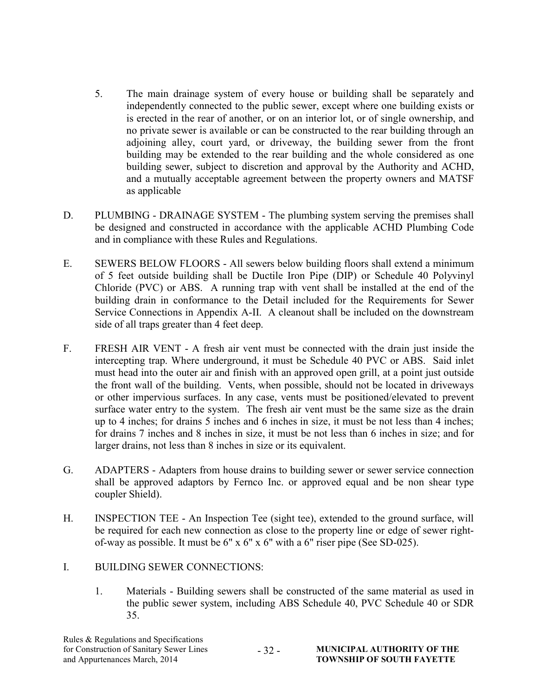- 5. The main drainage system of every house or building shall be separately and independently connected to the public sewer, except where one building exists or is erected in the rear of another, or on an interior lot, or of single ownership, and no private sewer is available or can be constructed to the rear building through an adjoining alley, court yard, or driveway, the building sewer from the front building may be extended to the rear building and the whole considered as one building sewer, subject to discretion and approval by the Authority and ACHD, and a mutually acceptable agreement between the property owners and MATSF as applicable
- D. PLUMBING DRAINAGE SYSTEM The plumbing system serving the premises shall be designed and constructed in accordance with the applicable ACHD Plumbing Code and in compliance with these Rules and Regulations.
- E. SEWERS BELOW FLOORS All sewers below building floors shall extend a minimum of 5 feet outside building shall be Ductile Iron Pipe (DIP) or Schedule 40 Polyvinyl Chloride (PVC) or ABS. A running trap with vent shall be installed at the end of the building drain in conformance to the Detail included for the Requirements for Sewer Service Connections in Appendix A-II. A cleanout shall be included on the downstream side of all traps greater than 4 feet deep.
- F. FRESH AIR VENT A fresh air vent must be connected with the drain just inside the intercepting trap. Where underground, it must be Schedule 40 PVC or ABS. Said inlet must head into the outer air and finish with an approved open grill, at a point just outside the front wall of the building. Vents, when possible, should not be located in driveways or other impervious surfaces. In any case, vents must be positioned/elevated to prevent surface water entry to the system. The fresh air vent must be the same size as the drain up to 4 inches; for drains 5 inches and 6 inches in size, it must be not less than 4 inches; for drains 7 inches and 8 inches in size, it must be not less than 6 inches in size; and for larger drains, not less than 8 inches in size or its equivalent.
- G. ADAPTERS Adapters from house drains to building sewer or sewer service connection shall be approved adaptors by Fernco Inc. or approved equal and be non shear type coupler Shield).
- H. INSPECTION TEE An Inspection Tee (sight tee), extended to the ground surface, will be required for each new connection as close to the property line or edge of sewer rightof-way as possible. It must be 6" x 6" x 6" with a 6" riser pipe (See SD-025).
- I. BUILDING SEWER CONNECTIONS:
	- 1. Materials Building sewers shall be constructed of the same material as used in the public sewer system, including ABS Schedule 40, PVC Schedule 40 or SDR 35.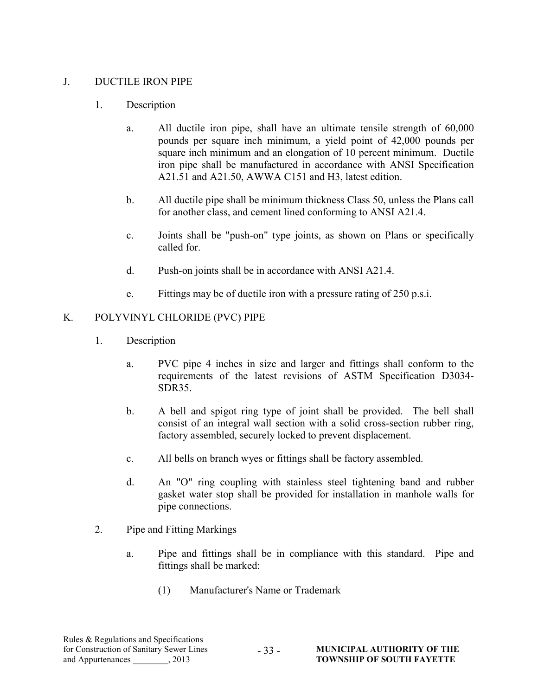#### J. DUCTILE IRON PIPE

#### 1. Description

- a. All ductile iron pipe, shall have an ultimate tensile strength of 60,000 pounds per square inch minimum, a yield point of 42,000 pounds per square inch minimum and an elongation of 10 percent minimum. Ductile iron pipe shall be manufactured in accordance with ANSI Specification A21.51 and A21.50, AWWA C151 and H3, latest edition.
- b. All ductile pipe shall be minimum thickness Class 50, unless the Plans call for another class, and cement lined conforming to ANSI A21.4.
- c. Joints shall be "push-on" type joints, as shown on Plans or specifically called for.
- d. Push-on joints shall be in accordance with ANSI A21.4.
- e. Fittings may be of ductile iron with a pressure rating of 250 p.s.i.

#### K. POLYVINYL CHLORIDE (PVC) PIPE

- 1. Description
	- a. PVC pipe 4 inches in size and larger and fittings shall conform to the requirements of the latest revisions of ASTM Specification D3034- SDR35.
	- b. A bell and spigot ring type of joint shall be provided. The bell shall consist of an integral wall section with a solid cross-section rubber ring, factory assembled, securely locked to prevent displacement.
	- c. All bells on branch wyes or fittings shall be factory assembled.
	- d. An "O" ring coupling with stainless steel tightening band and rubber gasket water stop shall be provided for installation in manhole walls for pipe connections.
- 2. Pipe and Fitting Markings
	- a. Pipe and fittings shall be in compliance with this standard. Pipe and fittings shall be marked:
		- (1) Manufacturer's Name or Trademark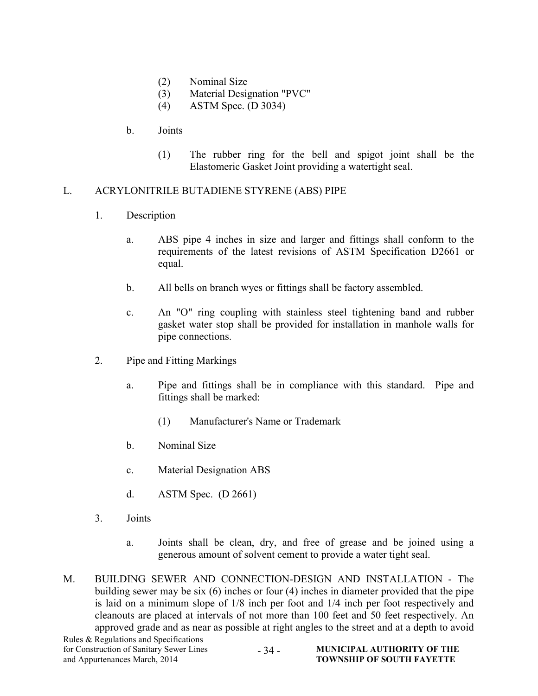- (2) Nominal Size
- (3) Material Designation "PVC"
- (4) ASTM Spec. (D 3034)

#### b. Joints

(1) The rubber ring for the bell and spigot joint shall be the Elastomeric Gasket Joint providing a watertight seal.

#### L. ACRYLONITRILE BUTADIENE STYRENE (ABS) PIPE

- 1. Description
	- a. ABS pipe 4 inches in size and larger and fittings shall conform to the requirements of the latest revisions of ASTM Specification D2661 or equal.
	- b. All bells on branch wyes or fittings shall be factory assembled.
	- c. An "O" ring coupling with stainless steel tightening band and rubber gasket water stop shall be provided for installation in manhole walls for pipe connections.
- 2. Pipe and Fitting Markings
	- a. Pipe and fittings shall be in compliance with this standard. Pipe and fittings shall be marked:
		- (1) Manufacturer's Name or Trademark
	- b. Nominal Size
	- c. Material Designation ABS
	- d. ASTM Spec. (D 2661)
- 3. Joints
	- a. Joints shall be clean, dry, and free of grease and be joined using a generous amount of solvent cement to provide a water tight seal.
- M. BUILDING SEWER AND CONNECTION-DESIGN AND INSTALLATION The building sewer may be six (6) inches or four (4) inches in diameter provided that the pipe is laid on a minimum slope of 1/8 inch per foot and 1/4 inch per foot respectively and cleanouts are placed at intervals of not more than 100 feet and 50 feet respectively. An approved grade and as near as possible at right angles to the street and at a depth to avoid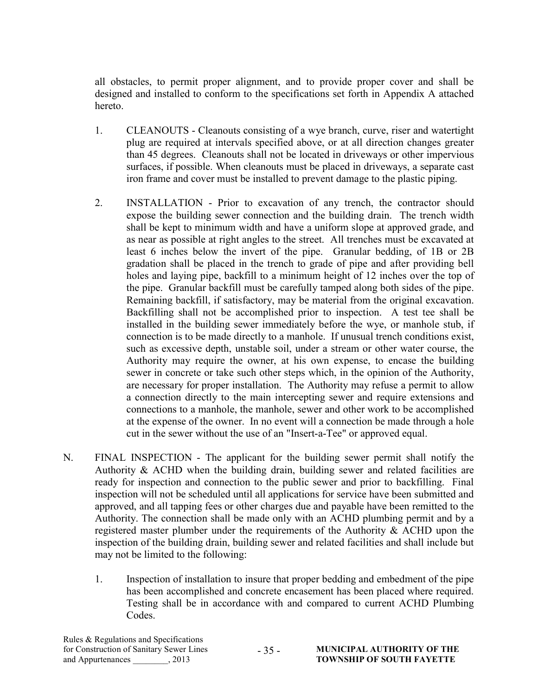all obstacles, to permit proper alignment, and to provide proper cover and shall be designed and installed to conform to the specifications set forth in Appendix A attached hereto.

- 1. CLEANOUTS Cleanouts consisting of a wye branch, curve, riser and watertight plug are required at intervals specified above, or at all direction changes greater than 45 degrees. Cleanouts shall not be located in driveways or other impervious surfaces, if possible. When cleanouts must be placed in driveways, a separate cast iron frame and cover must be installed to prevent damage to the plastic piping.
- 2. INSTALLATION Prior to excavation of any trench, the contractor should expose the building sewer connection and the building drain. The trench width shall be kept to minimum width and have a uniform slope at approved grade, and as near as possible at right angles to the street. All trenches must be excavated at least 6 inches below the invert of the pipe. Granular bedding, of 1B or 2B gradation shall be placed in the trench to grade of pipe and after providing bell holes and laying pipe, backfill to a minimum height of 12 inches over the top of the pipe. Granular backfill must be carefully tamped along both sides of the pipe. Remaining backfill, if satisfactory, may be material from the original excavation. Backfilling shall not be accomplished prior to inspection. A test tee shall be installed in the building sewer immediately before the wye, or manhole stub, if connection is to be made directly to a manhole. If unusual trench conditions exist, such as excessive depth, unstable soil, under a stream or other water course, the Authority may require the owner, at his own expense, to encase the building sewer in concrete or take such other steps which, in the opinion of the Authority, are necessary for proper installation. The Authority may refuse a permit to allow a connection directly to the main intercepting sewer and require extensions and connections to a manhole, the manhole, sewer and other work to be accomplished at the expense of the owner. In no event will a connection be made through a hole cut in the sewer without the use of an "Insert-a-Tee" or approved equal.
- N. FINAL INSPECTION The applicant for the building sewer permit shall notify the Authority & ACHD when the building drain, building sewer and related facilities are ready for inspection and connection to the public sewer and prior to backfilling. Final inspection will not be scheduled until all applications for service have been submitted and approved, and all tapping fees or other charges due and payable have been remitted to the Authority. The connection shall be made only with an ACHD plumbing permit and by a registered master plumber under the requirements of the Authority  $&$  ACHD upon the inspection of the building drain, building sewer and related facilities and shall include but may not be limited to the following:
	- 1. Inspection of installation to insure that proper bedding and embedment of the pipe has been accomplished and concrete encasement has been placed where required. Testing shall be in accordance with and compared to current ACHD Plumbing Codes.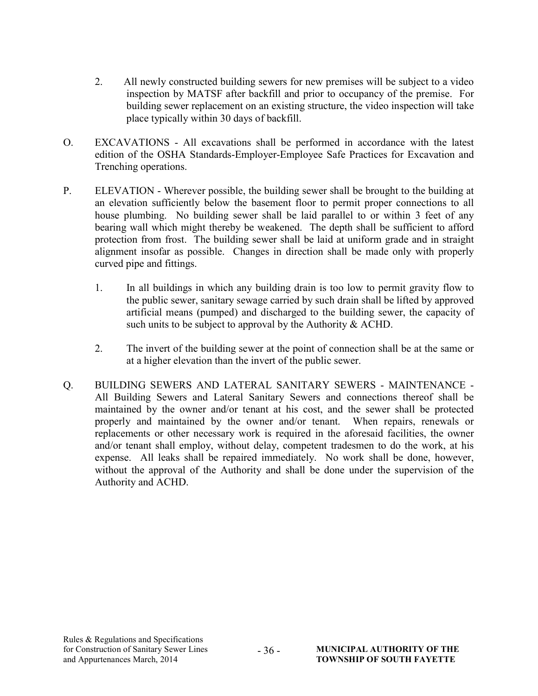- 2. All newly constructed building sewers for new premises will be subject to a video inspection by MATSF after backfill and prior to occupancy of the premise. For building sewer replacement on an existing structure, the video inspection will take place typically within 30 days of backfill.
- O. EXCAVATIONS All excavations shall be performed in accordance with the latest edition of the OSHA Standards-Employer-Employee Safe Practices for Excavation and Trenching operations.
- P. ELEVATION Wherever possible, the building sewer shall be brought to the building at an elevation sufficiently below the basement floor to permit proper connections to all house plumbing. No building sewer shall be laid parallel to or within 3 feet of any bearing wall which might thereby be weakened. The depth shall be sufficient to afford protection from frost. The building sewer shall be laid at uniform grade and in straight alignment insofar as possible. Changes in direction shall be made only with properly curved pipe and fittings.
	- 1. In all buildings in which any building drain is too low to permit gravity flow to the public sewer, sanitary sewage carried by such drain shall be lifted by approved artificial means (pumped) and discharged to the building sewer, the capacity of such units to be subject to approval by the Authority & ACHD.
	- 2. The invert of the building sewer at the point of connection shall be at the same or at a higher elevation than the invert of the public sewer.
- Q. BUILDING SEWERS AND LATERAL SANITARY SEWERS MAINTENANCE All Building Sewers and Lateral Sanitary Sewers and connections thereof shall be maintained by the owner and/or tenant at his cost, and the sewer shall be protected properly and maintained by the owner and/or tenant. When repairs, renewals or replacements or other necessary work is required in the aforesaid facilities, the owner and/or tenant shall employ, without delay, competent tradesmen to do the work, at his expense. All leaks shall be repaired immediately. No work shall be done, however, without the approval of the Authority and shall be done under the supervision of the Authority and ACHD.

- 36 -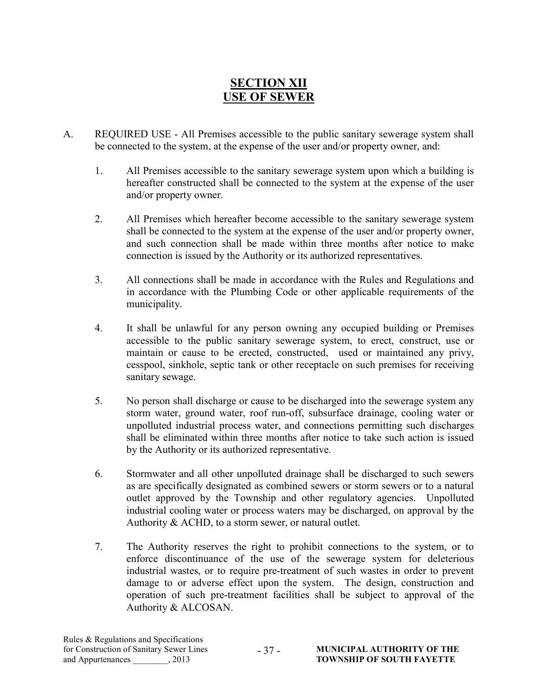## SECTION XII USE OF SEWER

- A. REQUIRED USE All Premises accessible to the public sanitary sewerage system shall be connected to the system, at the expense of the user and/or property owner, and:
	- 1. All Premises accessible to the sanitary sewerage system upon which a building is hereafter constructed shall be connected to the system at the expense of the user and/or property owner.
	- 2. All Premises which hereafter become accessible to the sanitary sewerage system shall be connected to the system at the expense of the user and/or property owner, and such connection shall be made within three months after notice to make connection is issued by the Authority or its authorized representatives.
	- 3. All connections shall be made in accordance with the Rules and Regulations and in accordance with the Plumbing Code or other applicable requirements of the municipality.
	- 4. It shall be unlawful for any person owning any occupied building or Premises accessible to the public sanitary sewerage system, to erect, construct, use or maintain or cause to be erected, constructed, used or maintained any privy, cesspool, sinkhole, septic tank or other receptacle on such premises for receiving sanitary sewage.
	- 5. No person shall discharge or cause to be discharged into the sewerage system any storm water, ground water, roof run-off, subsurface drainage, cooling water or unpolluted industrial process water, and connections permitting such discharges shall be eliminated within three months after notice to take such action is issued by the Authority or its authorized representative.
	- 6. Stormwater and all other unpolluted drainage shall be discharged to such sewers as are specifically designated as combined sewers or storm sewers or to a natural outlet approved by the Township and other regulatory agencies. Unpolluted industrial cooling water or process waters may be discharged, on approval by the Authority & ACHD, to a storm sewer, or natural outlet.
	- 7. The Authority reserves the right to prohibit connections to the system, or to enforce discontinuance of the use of the sewerage system for deleterious industrial wastes, or to require pre-treatment of such wastes in order to prevent damage to or adverse effect upon the system. The design, construction and operation of such pre-treatment facilities shall be subject to approval of the Authority & ALCOSAN.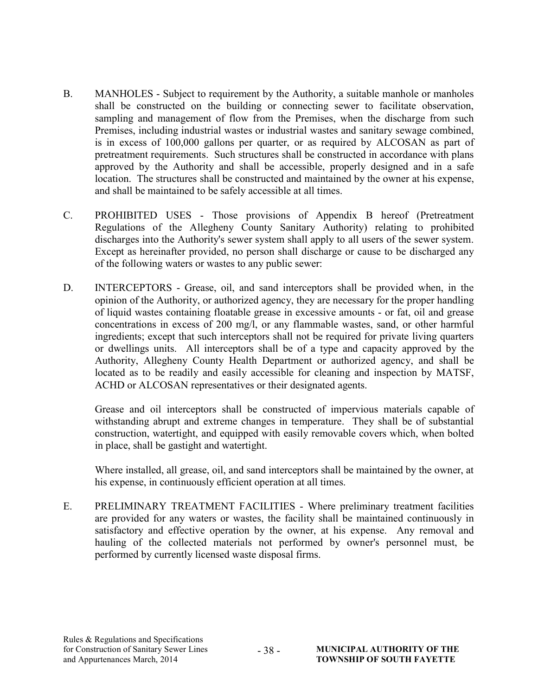- B. MANHOLES Subject to requirement by the Authority, a suitable manhole or manholes shall be constructed on the building or connecting sewer to facilitate observation, sampling and management of flow from the Premises, when the discharge from such Premises, including industrial wastes or industrial wastes and sanitary sewage combined, is in excess of 100,000 gallons per quarter, or as required by ALCOSAN as part of pretreatment requirements. Such structures shall be constructed in accordance with plans approved by the Authority and shall be accessible, properly designed and in a safe location. The structures shall be constructed and maintained by the owner at his expense, and shall be maintained to be safely accessible at all times.
- C. PROHIBITED USES Those provisions of Appendix B hereof (Pretreatment Regulations of the Allegheny County Sanitary Authority) relating to prohibited discharges into the Authority's sewer system shall apply to all users of the sewer system. Except as hereinafter provided, no person shall discharge or cause to be discharged any of the following waters or wastes to any public sewer:
- D. INTERCEPTORS Grease, oil, and sand interceptors shall be provided when, in the opinion of the Authority, or authorized agency, they are necessary for the proper handling of liquid wastes containing floatable grease in excessive amounts - or fat, oil and grease concentrations in excess of 200 mg/l, or any flammable wastes, sand, or other harmful ingredients; except that such interceptors shall not be required for private living quarters or dwellings units. All interceptors shall be of a type and capacity approved by the Authority, Allegheny County Health Department or authorized agency, and shall be located as to be readily and easily accessible for cleaning and inspection by MATSF, ACHD or ALCOSAN representatives or their designated agents.

Grease and oil interceptors shall be constructed of impervious materials capable of withstanding abrupt and extreme changes in temperature. They shall be of substantial construction, watertight, and equipped with easily removable covers which, when bolted in place, shall be gastight and watertight.

Where installed, all grease, oil, and sand interceptors shall be maintained by the owner, at his expense, in continuously efficient operation at all times.

E. PRELIMINARY TREATMENT FACILITIES - Where preliminary treatment facilities are provided for any waters or wastes, the facility shall be maintained continuously in satisfactory and effective operation by the owner, at his expense. Any removal and hauling of the collected materials not performed by owner's personnel must, be performed by currently licensed waste disposal firms.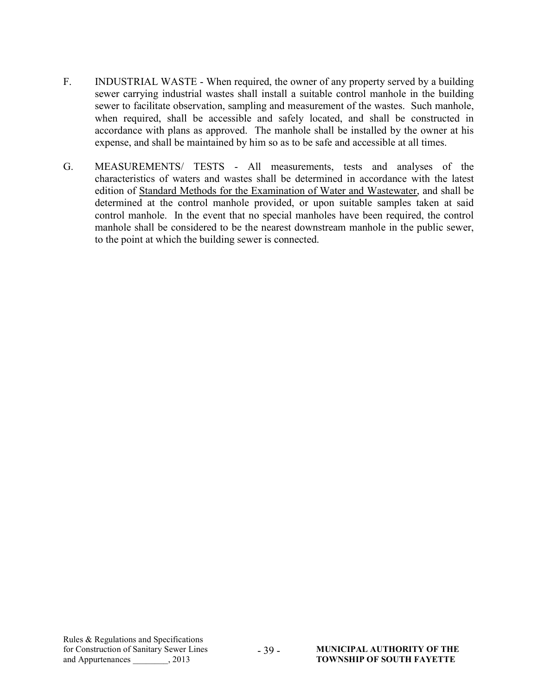- F. INDUSTRIAL WASTE When required, the owner of any property served by a building sewer carrying industrial wastes shall install a suitable control manhole in the building sewer to facilitate observation, sampling and measurement of the wastes. Such manhole, when required, shall be accessible and safely located, and shall be constructed in accordance with plans as approved. The manhole shall be installed by the owner at his expense, and shall be maintained by him so as to be safe and accessible at all times.
- G. MEASUREMENTS/ TESTS All measurements, tests and analyses of the characteristics of waters and wastes shall be determined in accordance with the latest edition of Standard Methods for the Examination of Water and Wastewater, and shall be determined at the control manhole provided, or upon suitable samples taken at said control manhole. In the event that no special manholes have been required, the control manhole shall be considered to be the nearest downstream manhole in the public sewer, to the point at which the building sewer is connected.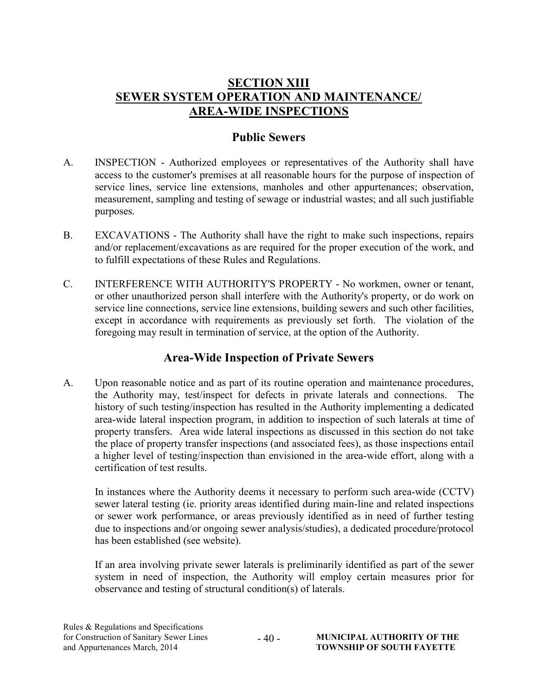## **SECTION XIII** SEWER SYSTEM OPERATION AND MAINTENANCE/ AREA-WIDE INSPECTIONS

### Public Sewers

- A. INSPECTION Authorized employees or representatives of the Authority shall have access to the customer's premises at all reasonable hours for the purpose of inspection of service lines, service line extensions, manholes and other appurtenances; observation, measurement, sampling and testing of sewage or industrial wastes; and all such justifiable purposes.
- B. EXCAVATIONS The Authority shall have the right to make such inspections, repairs and/or replacement/excavations as are required for the proper execution of the work, and to fulfill expectations of these Rules and Regulations.
- C. INTERFERENCE WITH AUTHORITY'S PROPERTY No workmen, owner or tenant, or other unauthorized person shall interfere with the Authority's property, or do work on service line connections, service line extensions, building sewers and such other facilities, except in accordance with requirements as previously set forth. The violation of the foregoing may result in termination of service, at the option of the Authority.

## Area-Wide Inspection of Private Sewers

A. Upon reasonable notice and as part of its routine operation and maintenance procedures, the Authority may, test/inspect for defects in private laterals and connections. The history of such testing/inspection has resulted in the Authority implementing a dedicated area-wide lateral inspection program, in addition to inspection of such laterals at time of property transfers. Area wide lateral inspections as discussed in this section do not take the place of property transfer inspections (and associated fees), as those inspections entail a higher level of testing/inspection than envisioned in the area-wide effort, along with a certification of test results.

In instances where the Authority deems it necessary to perform such area-wide (CCTV) sewer lateral testing (ie. priority areas identified during main-line and related inspections or sewer work performance, or areas previously identified as in need of further testing due to inspections and/or ongoing sewer analysis/studies), a dedicated procedure/protocol has been established (see website).

If an area involving private sewer laterals is preliminarily identified as part of the sewer system in need of inspection, the Authority will employ certain measures prior for observance and testing of structural condition(s) of laterals.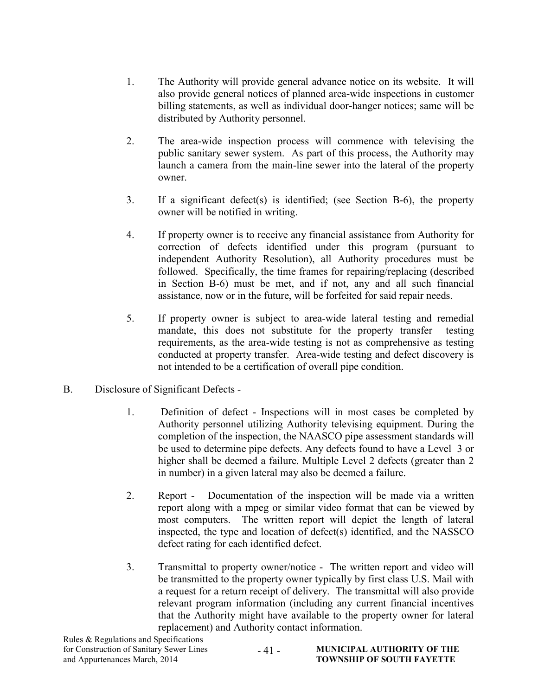- 1. The Authority will provide general advance notice on its website. It will also provide general notices of planned area-wide inspections in customer billing statements, as well as individual door-hanger notices; same will be distributed by Authority personnel.
- 2. The area-wide inspection process will commence with televising the public sanitary sewer system. As part of this process, the Authority may launch a camera from the main-line sewer into the lateral of the property owner.
- 3. If a significant defect(s) is identified; (see Section B-6), the property owner will be notified in writing.
- 4. If property owner is to receive any financial assistance from Authority for correction of defects identified under this program (pursuant to independent Authority Resolution), all Authority procedures must be followed. Specifically, the time frames for repairing/replacing (described in Section B-6) must be met, and if not, any and all such financial assistance, now or in the future, will be forfeited for said repair needs.
- 5. If property owner is subject to area-wide lateral testing and remedial mandate, this does not substitute for the property transfer testing requirements, as the area-wide testing is not as comprehensive as testing conducted at property transfer. Area-wide testing and defect discovery is not intended to be a certification of overall pipe condition.
- B. Disclosure of Significant Defects
	- 1. Definition of defect Inspections will in most cases be completed by Authority personnel utilizing Authority televising equipment. During the completion of the inspection, the NAASCO pipe assessment standards will be used to determine pipe defects. Any defects found to have a Level 3 or higher shall be deemed a failure. Multiple Level 2 defects (greater than 2 in number) in a given lateral may also be deemed a failure.
	- 2. Report Documentation of the inspection will be made via a written report along with a mpeg or similar video format that can be viewed by most computers. The written report will depict the length of lateral inspected, the type and location of defect(s) identified, and the NASSCO defect rating for each identified defect.
	- 3. Transmittal to property owner/notice The written report and video will be transmitted to the property owner typically by first class U.S. Mail with a request for a return receipt of delivery. The transmittal will also provide relevant program information (including any current financial incentives that the Authority might have available to the property owner for lateral replacement) and Authority contact information.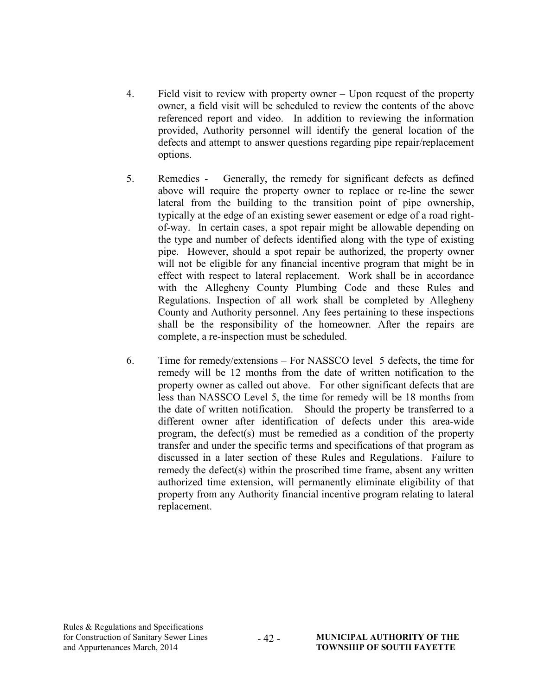- 4. Field visit to review with property owner Upon request of the property owner, a field visit will be scheduled to review the contents of the above referenced report and video. In addition to reviewing the information provided, Authority personnel will identify the general location of the defects and attempt to answer questions regarding pipe repair/replacement options.
- 5. Remedies Generally, the remedy for significant defects as defined above will require the property owner to replace or re-line the sewer lateral from the building to the transition point of pipe ownership, typically at the edge of an existing sewer easement or edge of a road rightof-way. In certain cases, a spot repair might be allowable depending on the type and number of defects identified along with the type of existing pipe. However, should a spot repair be authorized, the property owner will not be eligible for any financial incentive program that might be in effect with respect to lateral replacement. Work shall be in accordance with the Allegheny County Plumbing Code and these Rules and Regulations. Inspection of all work shall be completed by Allegheny County and Authority personnel. Any fees pertaining to these inspections shall be the responsibility of the homeowner. After the repairs are complete, a re-inspection must be scheduled.
- 6. Time for remedy/extensions For NASSCO level 5 defects, the time for remedy will be 12 months from the date of written notification to the property owner as called out above. For other significant defects that are less than NASSCO Level 5, the time for remedy will be 18 months from the date of written notification. Should the property be transferred to a different owner after identification of defects under this area-wide program, the defect(s) must be remedied as a condition of the property transfer and under the specific terms and specifications of that program as discussed in a later section of these Rules and Regulations. Failure to remedy the defect(s) within the proscribed time frame, absent any written authorized time extension, will permanently eliminate eligibility of that property from any Authority financial incentive program relating to lateral replacement.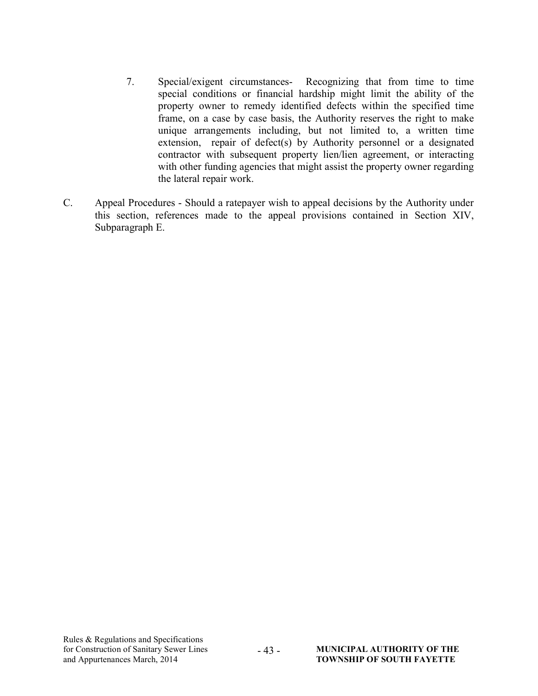- 7. Special/exigent circumstances- Recognizing that from time to time special conditions or financial hardship might limit the ability of the property owner to remedy identified defects within the specified time frame, on a case by case basis, the Authority reserves the right to make unique arrangements including, but not limited to, a written time extension, repair of defect(s) by Authority personnel or a designated contractor with subsequent property lien/lien agreement, or interacting with other funding agencies that might assist the property owner regarding the lateral repair work.
- C. Appeal Procedures Should a ratepayer wish to appeal decisions by the Authority under this section, references made to the appeal provisions contained in Section XIV, Subparagraph E.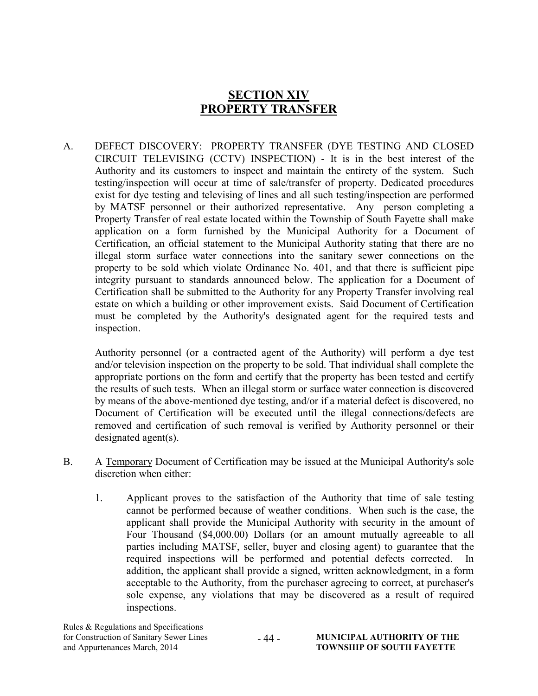## SECTION XIV PROPERTY TRANSFER

A. DEFECT DISCOVERY: PROPERTY TRANSFER (DYE TESTING AND CLOSED CIRCUIT TELEVISING (CCTV) INSPECTION) - It is in the best interest of the Authority and its customers to inspect and maintain the entirety of the system. Such testing/inspection will occur at time of sale/transfer of property. Dedicated procedures exist for dye testing and televising of lines and all such testing/inspection are performed by MATSF personnel or their authorized representative. Any person completing a Property Transfer of real estate located within the Township of South Fayette shall make application on a form furnished by the Municipal Authority for a Document of Certification, an official statement to the Municipal Authority stating that there are no illegal storm surface water connections into the sanitary sewer connections on the property to be sold which violate Ordinance No. 401, and that there is sufficient pipe integrity pursuant to standards announced below. The application for a Document of Certification shall be submitted to the Authority for any Property Transfer involving real estate on which a building or other improvement exists. Said Document of Certification must be completed by the Authority's designated agent for the required tests and inspection.

Authority personnel (or a contracted agent of the Authority) will perform a dye test and/or television inspection on the property to be sold. That individual shall complete the appropriate portions on the form and certify that the property has been tested and certify the results of such tests. When an illegal storm or surface water connection is discovered by means of the above-mentioned dye testing, and/or if a material defect is discovered, no Document of Certification will be executed until the illegal connections/defects are removed and certification of such removal is verified by Authority personnel or their designated agent(s).

- B. A Temporary Document of Certification may be issued at the Municipal Authority's sole discretion when either:
	- 1. Applicant proves to the satisfaction of the Authority that time of sale testing cannot be performed because of weather conditions. When such is the case, the applicant shall provide the Municipal Authority with security in the amount of Four Thousand (\$4,000.00) Dollars (or an amount mutually agreeable to all parties including MATSF, seller, buyer and closing agent) to guarantee that the required inspections will be performed and potential defects corrected. In addition, the applicant shall provide a signed, written acknowledgment, in a form acceptable to the Authority, from the purchaser agreeing to correct, at purchaser's sole expense, any violations that may be discovered as a result of required inspections.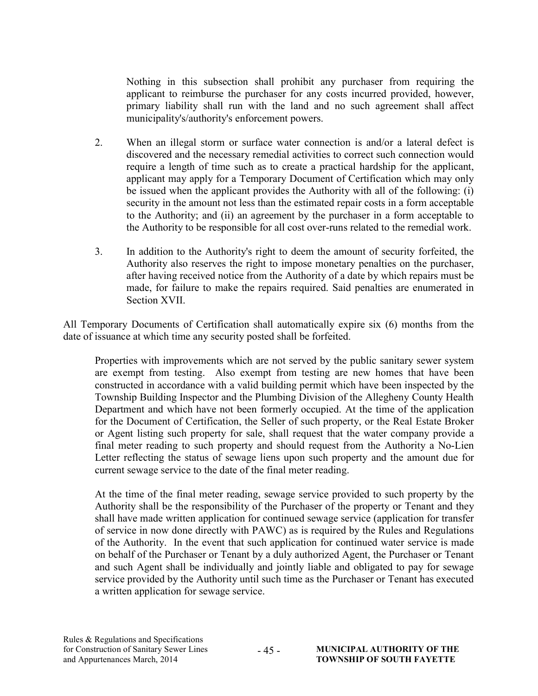Nothing in this subsection shall prohibit any purchaser from requiring the applicant to reimburse the purchaser for any costs incurred provided, however, primary liability shall run with the land and no such agreement shall affect municipality's/authority's enforcement powers.

- 2. When an illegal storm or surface water connection is and/or a lateral defect is discovered and the necessary remedial activities to correct such connection would require a length of time such as to create a practical hardship for the applicant, applicant may apply for a Temporary Document of Certification which may only be issued when the applicant provides the Authority with all of the following: (i) security in the amount not less than the estimated repair costs in a form acceptable to the Authority; and (ii) an agreement by the purchaser in a form acceptable to the Authority to be responsible for all cost over-runs related to the remedial work.
- 3. In addition to the Authority's right to deem the amount of security forfeited, the Authority also reserves the right to impose monetary penalties on the purchaser, after having received notice from the Authority of a date by which repairs must be made, for failure to make the repairs required. Said penalties are enumerated in Section XVII.

All Temporary Documents of Certification shall automatically expire six (6) months from the date of issuance at which time any security posted shall be forfeited.

Properties with improvements which are not served by the public sanitary sewer system are exempt from testing. Also exempt from testing are new homes that have been constructed in accordance with a valid building permit which have been inspected by the Township Building Inspector and the Plumbing Division of the Allegheny County Health Department and which have not been formerly occupied. At the time of the application for the Document of Certification, the Seller of such property, or the Real Estate Broker or Agent listing such property for sale, shall request that the water company provide a final meter reading to such property and should request from the Authority a No-Lien Letter reflecting the status of sewage liens upon such property and the amount due for current sewage service to the date of the final meter reading.

At the time of the final meter reading, sewage service provided to such property by the Authority shall be the responsibility of the Purchaser of the property or Tenant and they shall have made written application for continued sewage service (application for transfer of service in now done directly with PAWC) as is required by the Rules and Regulations of the Authority. In the event that such application for continued water service is made on behalf of the Purchaser or Tenant by a duly authorized Agent, the Purchaser or Tenant and such Agent shall be individually and jointly liable and obligated to pay for sewage service provided by the Authority until such time as the Purchaser or Tenant has executed a written application for sewage service.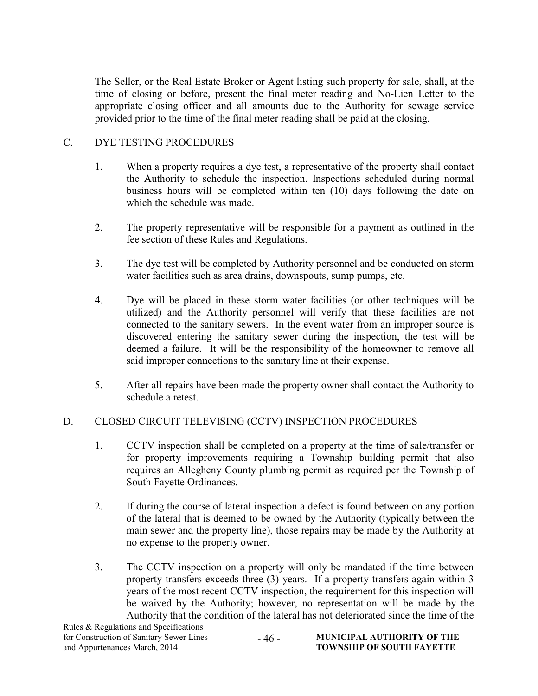The Seller, or the Real Estate Broker or Agent listing such property for sale, shall, at the time of closing or before, present the final meter reading and No-Lien Letter to the appropriate closing officer and all amounts due to the Authority for sewage service provided prior to the time of the final meter reading shall be paid at the closing.

#### C. DYE TESTING PROCEDURES

- 1. When a property requires a dye test, a representative of the property shall contact the Authority to schedule the inspection. Inspections scheduled during normal business hours will be completed within ten (10) days following the date on which the schedule was made.
- 2. The property representative will be responsible for a payment as outlined in the fee section of these Rules and Regulations.
- 3. The dye test will be completed by Authority personnel and be conducted on storm water facilities such as area drains, downspouts, sump pumps, etc.
- 4. Dye will be placed in these storm water facilities (or other techniques will be utilized) and the Authority personnel will verify that these facilities are not connected to the sanitary sewers. In the event water from an improper source is discovered entering the sanitary sewer during the inspection, the test will be deemed a failure. It will be the responsibility of the homeowner to remove all said improper connections to the sanitary line at their expense.
- 5. After all repairs have been made the property owner shall contact the Authority to schedule a retest.

#### D. CLOSED CIRCUIT TELEVISING (CCTV) INSPECTION PROCEDURES

- 1. CCTV inspection shall be completed on a property at the time of sale/transfer or for property improvements requiring a Township building permit that also requires an Allegheny County plumbing permit as required per the Township of South Fayette Ordinances.
- 2. If during the course of lateral inspection a defect is found between on any portion of the lateral that is deemed to be owned by the Authority (typically between the main sewer and the property line), those repairs may be made by the Authority at no expense to the property owner.
- 3. The CCTV inspection on a property will only be mandated if the time between property transfers exceeds three (3) years. If a property transfers again within 3 years of the most recent CCTV inspection, the requirement for this inspection will be waived by the Authority; however, no representation will be made by the Authority that the condition of the lateral has not deteriorated since the time of the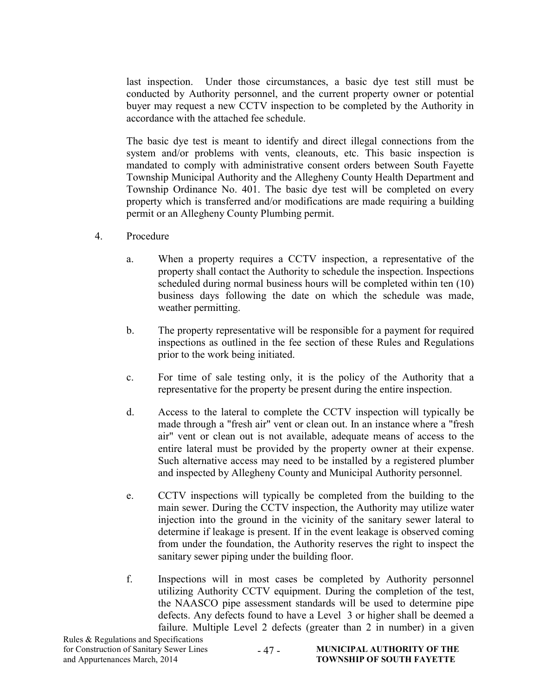last inspection. Under those circumstances, a basic dye test still must be conducted by Authority personnel, and the current property owner or potential buyer may request a new CCTV inspection to be completed by the Authority in accordance with the attached fee schedule.

The basic dye test is meant to identify and direct illegal connections from the system and/or problems with vents, cleanouts, etc. This basic inspection is mandated to comply with administrative consent orders between South Fayette Township Municipal Authority and the Allegheny County Health Department and Township Ordinance No. 401. The basic dye test will be completed on every property which is transferred and/or modifications are made requiring a building permit or an Allegheny County Plumbing permit.

- 4. Procedure
	- a. When a property requires a CCTV inspection, a representative of the property shall contact the Authority to schedule the inspection. Inspections scheduled during normal business hours will be completed within ten (10) business days following the date on which the schedule was made, weather permitting.
	- b. The property representative will be responsible for a payment for required inspections as outlined in the fee section of these Rules and Regulations prior to the work being initiated.
	- c. For time of sale testing only, it is the policy of the Authority that a representative for the property be present during the entire inspection.
	- d. Access to the lateral to complete the CCTV inspection will typically be made through a "fresh air" vent or clean out. In an instance where a "fresh air" vent or clean out is not available, adequate means of access to the entire lateral must be provided by the property owner at their expense. Such alternative access may need to be installed by a registered plumber and inspected by Allegheny County and Municipal Authority personnel.
	- e. CCTV inspections will typically be completed from the building to the main sewer. During the CCTV inspection, the Authority may utilize water injection into the ground in the vicinity of the sanitary sewer lateral to determine if leakage is present. If in the event leakage is observed coming from under the foundation, the Authority reserves the right to inspect the sanitary sewer piping under the building floor.
	- f. Inspections will in most cases be completed by Authority personnel utilizing Authority CCTV equipment. During the completion of the test, the NAASCO pipe assessment standards will be used to determine pipe defects. Any defects found to have a Level 3 or higher shall be deemed a failure. Multiple Level 2 defects (greater than 2 in number) in a given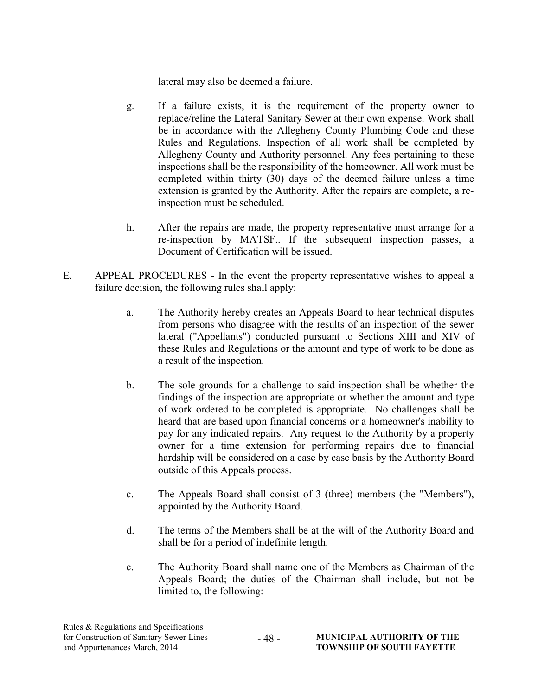lateral may also be deemed a failure.

- g. If a failure exists, it is the requirement of the property owner to replace/reline the Lateral Sanitary Sewer at their own expense. Work shall be in accordance with the Allegheny County Plumbing Code and these Rules and Regulations. Inspection of all work shall be completed by Allegheny County and Authority personnel. Any fees pertaining to these inspections shall be the responsibility of the homeowner. All work must be completed within thirty (30) days of the deemed failure unless a time extension is granted by the Authority. After the repairs are complete, a reinspection must be scheduled.
- h. After the repairs are made, the property representative must arrange for a re-inspection by MATSF.. If the subsequent inspection passes, a Document of Certification will be issued.
- E. APPEAL PROCEDURES In the event the property representative wishes to appeal a failure decision, the following rules shall apply:
	- a. The Authority hereby creates an Appeals Board to hear technical disputes from persons who disagree with the results of an inspection of the sewer lateral ("Appellants") conducted pursuant to Sections XIII and XIV of these Rules and Regulations or the amount and type of work to be done as a result of the inspection.
	- b. The sole grounds for a challenge to said inspection shall be whether the findings of the inspection are appropriate or whether the amount and type of work ordered to be completed is appropriate. No challenges shall be heard that are based upon financial concerns or a homeowner's inability to pay for any indicated repairs. Any request to the Authority by a property owner for a time extension for performing repairs due to financial hardship will be considered on a case by case basis by the Authority Board outside of this Appeals process.
	- c. The Appeals Board shall consist of 3 (three) members (the "Members"), appointed by the Authority Board.
	- d. The terms of the Members shall be at the will of the Authority Board and shall be for a period of indefinite length.
	- e. The Authority Board shall name one of the Members as Chairman of the Appeals Board; the duties of the Chairman shall include, but not be limited to, the following: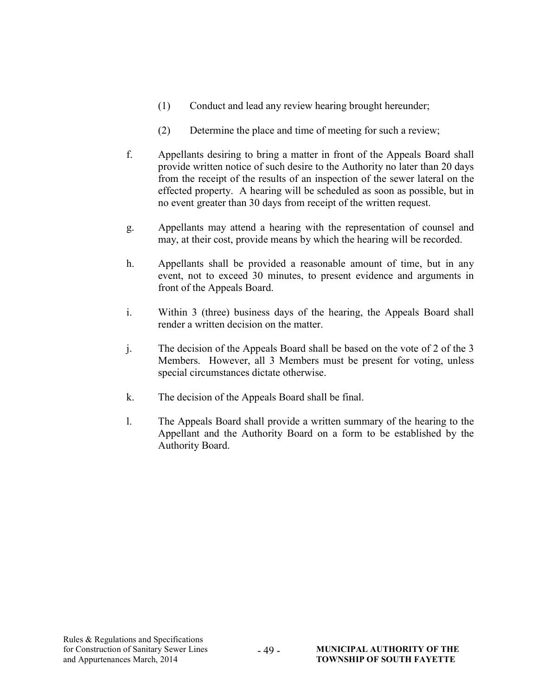- (1) Conduct and lead any review hearing brought hereunder;
- (2) Determine the place and time of meeting for such a review;
- f. Appellants desiring to bring a matter in front of the Appeals Board shall provide written notice of such desire to the Authority no later than 20 days from the receipt of the results of an inspection of the sewer lateral on the effected property. A hearing will be scheduled as soon as possible, but in no event greater than 30 days from receipt of the written request.
- g. Appellants may attend a hearing with the representation of counsel and may, at their cost, provide means by which the hearing will be recorded.
- h. Appellants shall be provided a reasonable amount of time, but in any event, not to exceed 30 minutes, to present evidence and arguments in front of the Appeals Board.
- i. Within 3 (three) business days of the hearing, the Appeals Board shall render a written decision on the matter.
- j. The decision of the Appeals Board shall be based on the vote of 2 of the 3 Members. However, all 3 Members must be present for voting, unless special circumstances dictate otherwise.
- k. The decision of the Appeals Board shall be final.

- 49 -

l. The Appeals Board shall provide a written summary of the hearing to the Appellant and the Authority Board on a form to be established by the Authority Board.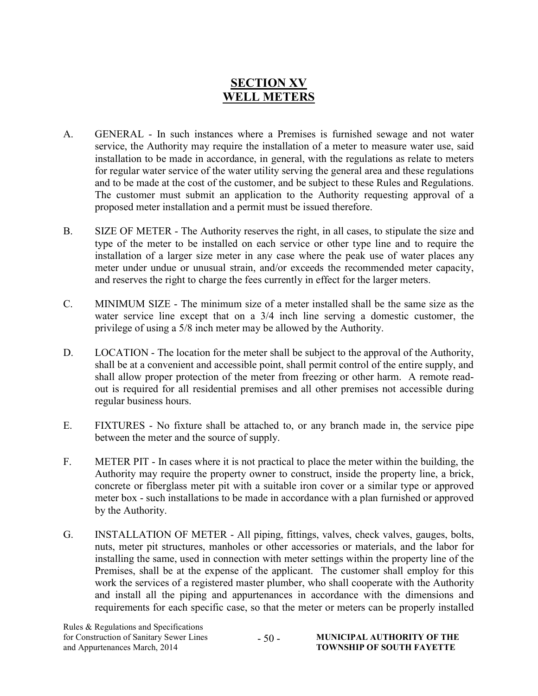## SECTION XV WELL METERS

- A. GENERAL In such instances where a Premises is furnished sewage and not water service, the Authority may require the installation of a meter to measure water use, said installation to be made in accordance, in general, with the regulations as relate to meters for regular water service of the water utility serving the general area and these regulations and to be made at the cost of the customer, and be subject to these Rules and Regulations. The customer must submit an application to the Authority requesting approval of a proposed meter installation and a permit must be issued therefore.
- B. SIZE OF METER The Authority reserves the right, in all cases, to stipulate the size and type of the meter to be installed on each service or other type line and to require the installation of a larger size meter in any case where the peak use of water places any meter under undue or unusual strain, and/or exceeds the recommended meter capacity, and reserves the right to charge the fees currently in effect for the larger meters.
- C. MINIMUM SIZE The minimum size of a meter installed shall be the same size as the water service line except that on a 3/4 inch line serving a domestic customer, the privilege of using a 5/8 inch meter may be allowed by the Authority.
- D. LOCATION The location for the meter shall be subject to the approval of the Authority, shall be at a convenient and accessible point, shall permit control of the entire supply, and shall allow proper protection of the meter from freezing or other harm. A remote readout is required for all residential premises and all other premises not accessible during regular business hours.
- E. FIXTURES No fixture shall be attached to, or any branch made in, the service pipe between the meter and the source of supply.
- F. METER PIT In cases where it is not practical to place the meter within the building, the Authority may require the property owner to construct, inside the property line, a brick, concrete or fiberglass meter pit with a suitable iron cover or a similar type or approved meter box - such installations to be made in accordance with a plan furnished or approved by the Authority.
- G. INSTALLATION OF METER All piping, fittings, valves, check valves, gauges, bolts, nuts, meter pit structures, manholes or other accessories or materials, and the labor for installing the same, used in connection with meter settings within the property line of the Premises, shall be at the expense of the applicant. The customer shall employ for this work the services of a registered master plumber, who shall cooperate with the Authority and install all the piping and appurtenances in accordance with the dimensions and requirements for each specific case, so that the meter or meters can be properly installed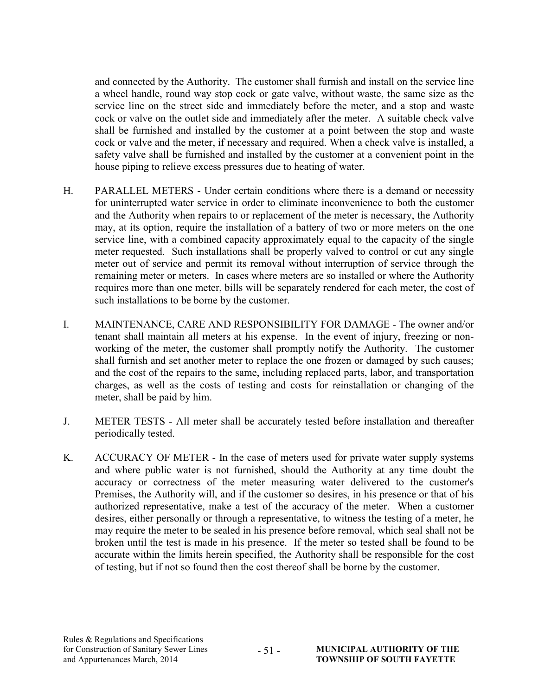and connected by the Authority. The customer shall furnish and install on the service line a wheel handle, round way stop cock or gate valve, without waste, the same size as the service line on the street side and immediately before the meter, and a stop and waste cock or valve on the outlet side and immediately after the meter. A suitable check valve shall be furnished and installed by the customer at a point between the stop and waste cock or valve and the meter, if necessary and required. When a check valve is installed, a safety valve shall be furnished and installed by the customer at a convenient point in the house piping to relieve excess pressures due to heating of water.

- H. PARALLEL METERS Under certain conditions where there is a demand or necessity for uninterrupted water service in order to eliminate inconvenience to both the customer and the Authority when repairs to or replacement of the meter is necessary, the Authority may, at its option, require the installation of a battery of two or more meters on the one service line, with a combined capacity approximately equal to the capacity of the single meter requested. Such installations shall be properly valved to control or cut any single meter out of service and permit its removal without interruption of service through the remaining meter or meters. In cases where meters are so installed or where the Authority requires more than one meter, bills will be separately rendered for each meter, the cost of such installations to be borne by the customer.
- I. MAINTENANCE, CARE AND RESPONSIBILITY FOR DAMAGE The owner and/or tenant shall maintain all meters at his expense. In the event of injury, freezing or nonworking of the meter, the customer shall promptly notify the Authority. The customer shall furnish and set another meter to replace the one frozen or damaged by such causes; and the cost of the repairs to the same, including replaced parts, labor, and transportation charges, as well as the costs of testing and costs for reinstallation or changing of the meter, shall be paid by him.
- J. METER TESTS All meter shall be accurately tested before installation and thereafter periodically tested.
- K. ACCURACY OF METER In the case of meters used for private water supply systems and where public water is not furnished, should the Authority at any time doubt the accuracy or correctness of the meter measuring water delivered to the customer's Premises, the Authority will, and if the customer so desires, in his presence or that of his authorized representative, make a test of the accuracy of the meter. When a customer desires, either personally or through a representative, to witness the testing of a meter, he may require the meter to be sealed in his presence before removal, which seal shall not be broken until the test is made in his presence. If the meter so tested shall be found to be accurate within the limits herein specified, the Authority shall be responsible for the cost of testing, but if not so found then the cost thereof shall be borne by the customer.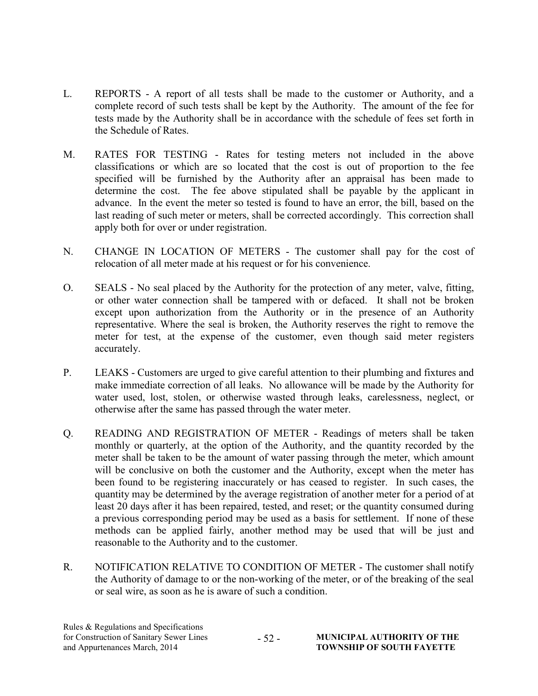- L. REPORTS A report of all tests shall be made to the customer or Authority, and a complete record of such tests shall be kept by the Authority. The amount of the fee for tests made by the Authority shall be in accordance with the schedule of fees set forth in the Schedule of Rates.
- M. RATES FOR TESTING Rates for testing meters not included in the above classifications or which are so located that the cost is out of proportion to the fee specified will be furnished by the Authority after an appraisal has been made to determine the cost. The fee above stipulated shall be payable by the applicant in advance. In the event the meter so tested is found to have an error, the bill, based on the last reading of such meter or meters, shall be corrected accordingly. This correction shall apply both for over or under registration.
- N. CHANGE IN LOCATION OF METERS The customer shall pay for the cost of relocation of all meter made at his request or for his convenience.
- O. SEALS No seal placed by the Authority for the protection of any meter, valve, fitting, or other water connection shall be tampered with or defaced. It shall not be broken except upon authorization from the Authority or in the presence of an Authority representative. Where the seal is broken, the Authority reserves the right to remove the meter for test, at the expense of the customer, even though said meter registers accurately.
- P. LEAKS Customers are urged to give careful attention to their plumbing and fixtures and make immediate correction of all leaks. No allowance will be made by the Authority for water used, lost, stolen, or otherwise wasted through leaks, carelessness, neglect, or otherwise after the same has passed through the water meter.
- Q. READING AND REGISTRATION OF METER Readings of meters shall be taken monthly or quarterly, at the option of the Authority, and the quantity recorded by the meter shall be taken to be the amount of water passing through the meter, which amount will be conclusive on both the customer and the Authority, except when the meter has been found to be registering inaccurately or has ceased to register. In such cases, the quantity may be determined by the average registration of another meter for a period of at least 20 days after it has been repaired, tested, and reset; or the quantity consumed during a previous corresponding period may be used as a basis for settlement. If none of these methods can be applied fairly, another method may be used that will be just and reasonable to the Authority and to the customer.
- R. NOTIFICATION RELATIVE TO CONDITION OF METER The customer shall notify the Authority of damage to or the non-working of the meter, or of the breaking of the seal or seal wire, as soon as he is aware of such a condition.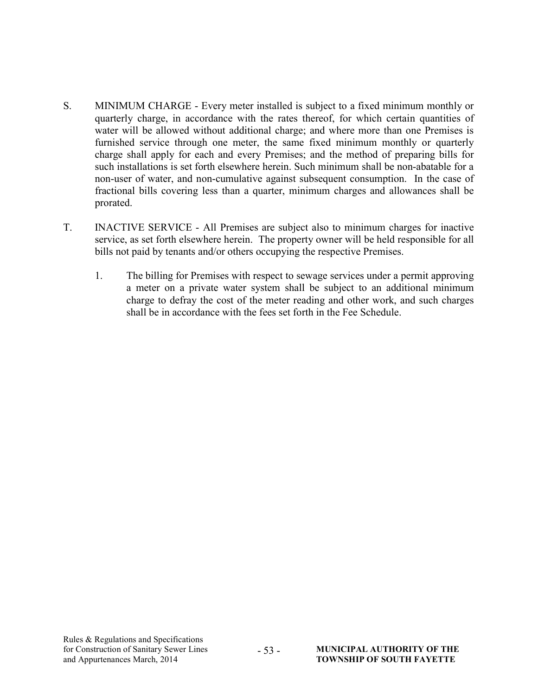- S. MINIMUM CHARGE Every meter installed is subject to a fixed minimum monthly or quarterly charge, in accordance with the rates thereof, for which certain quantities of water will be allowed without additional charge; and where more than one Premises is furnished service through one meter, the same fixed minimum monthly or quarterly charge shall apply for each and every Premises; and the method of preparing bills for such installations is set forth elsewhere herein. Such minimum shall be non-abatable for a non-user of water, and non-cumulative against subsequent consumption. In the case of fractional bills covering less than a quarter, minimum charges and allowances shall be prorated.
- T. INACTIVE SERVICE All Premises are subject also to minimum charges for inactive service, as set forth elsewhere herein. The property owner will be held responsible for all bills not paid by tenants and/or others occupying the respective Premises.

- 53 -

1. The billing for Premises with respect to sewage services under a permit approving a meter on a private water system shall be subject to an additional minimum charge to defray the cost of the meter reading and other work, and such charges shall be in accordance with the fees set forth in the Fee Schedule.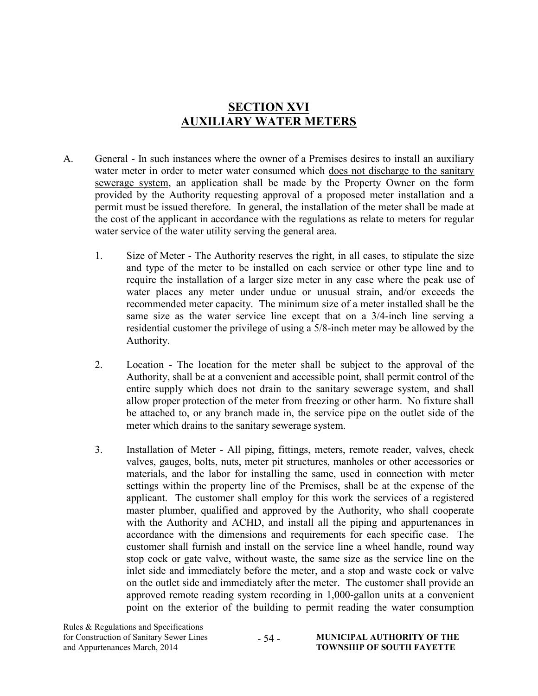## SECTION XVI AUXILIARY WATER METERS

- A. General In such instances where the owner of a Premises desires to install an auxiliary water meter in order to meter water consumed which does not discharge to the sanitary sewerage system, an application shall be made by the Property Owner on the form provided by the Authority requesting approval of a proposed meter installation and a permit must be issued therefore. In general, the installation of the meter shall be made at the cost of the applicant in accordance with the regulations as relate to meters for regular water service of the water utility serving the general area.
	- 1. Size of Meter The Authority reserves the right, in all cases, to stipulate the size and type of the meter to be installed on each service or other type line and to require the installation of a larger size meter in any case where the peak use of water places any meter under undue or unusual strain, and/or exceeds the recommended meter capacity. The minimum size of a meter installed shall be the same size as the water service line except that on a 3/4-inch line serving a residential customer the privilege of using a 5/8-inch meter may be allowed by the Authority.
	- 2. Location The location for the meter shall be subject to the approval of the Authority, shall be at a convenient and accessible point, shall permit control of the entire supply which does not drain to the sanitary sewerage system, and shall allow proper protection of the meter from freezing or other harm. No fixture shall be attached to, or any branch made in, the service pipe on the outlet side of the meter which drains to the sanitary sewerage system.
	- 3. Installation of Meter All piping, fittings, meters, remote reader, valves, check valves, gauges, bolts, nuts, meter pit structures, manholes or other accessories or materials, and the labor for installing the same, used in connection with meter settings within the property line of the Premises, shall be at the expense of the applicant. The customer shall employ for this work the services of a registered master plumber, qualified and approved by the Authority, who shall cooperate with the Authority and ACHD, and install all the piping and appurtenances in accordance with the dimensions and requirements for each specific case. The customer shall furnish and install on the service line a wheel handle, round way stop cock or gate valve, without waste, the same size as the service line on the inlet side and immediately before the meter, and a stop and waste cock or valve on the outlet side and immediately after the meter. The customer shall provide an approved remote reading system recording in 1,000-gallon units at a convenient point on the exterior of the building to permit reading the water consumption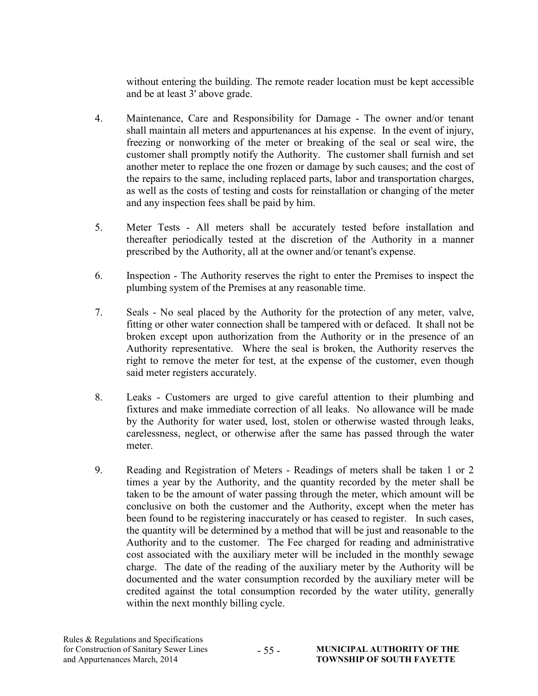without entering the building. The remote reader location must be kept accessible and be at least 3' above grade.

- 4. Maintenance, Care and Responsibility for Damage The owner and/or tenant shall maintain all meters and appurtenances at his expense. In the event of injury, freezing or nonworking of the meter or breaking of the seal or seal wire, the customer shall promptly notify the Authority. The customer shall furnish and set another meter to replace the one frozen or damage by such causes; and the cost of the repairs to the same, including replaced parts, labor and transportation charges, as well as the costs of testing and costs for reinstallation or changing of the meter and any inspection fees shall be paid by him.
- 5. Meter Tests All meters shall be accurately tested before installation and thereafter periodically tested at the discretion of the Authority in a manner prescribed by the Authority, all at the owner and/or tenant's expense.
- 6. Inspection The Authority reserves the right to enter the Premises to inspect the plumbing system of the Premises at any reasonable time.
- 7. Seals No seal placed by the Authority for the protection of any meter, valve, fitting or other water connection shall be tampered with or defaced. It shall not be broken except upon authorization from the Authority or in the presence of an Authority representative. Where the seal is broken, the Authority reserves the right to remove the meter for test, at the expense of the customer, even though said meter registers accurately.
- 8. Leaks Customers are urged to give careful attention to their plumbing and fixtures and make immediate correction of all leaks. No allowance will be made by the Authority for water used, lost, stolen or otherwise wasted through leaks, carelessness, neglect, or otherwise after the same has passed through the water meter.
- 9. Reading and Registration of Meters Readings of meters shall be taken 1 or 2 times a year by the Authority, and the quantity recorded by the meter shall be taken to be the amount of water passing through the meter, which amount will be conclusive on both the customer and the Authority, except when the meter has been found to be registering inaccurately or has ceased to register. In such cases, the quantity will be determined by a method that will be just and reasonable to the Authority and to the customer. The Fee charged for reading and administrative cost associated with the auxiliary meter will be included in the monthly sewage charge. The date of the reading of the auxiliary meter by the Authority will be documented and the water consumption recorded by the auxiliary meter will be credited against the total consumption recorded by the water utility, generally within the next monthly billing cycle.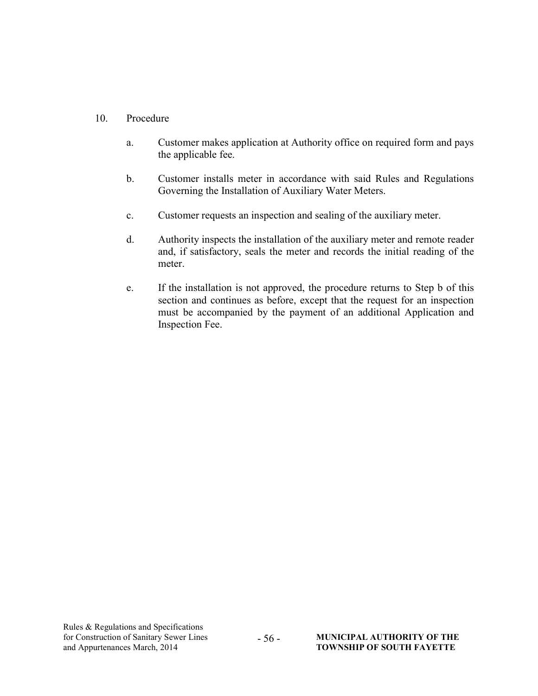#### 10. Procedure

- a. Customer makes application at Authority office on required form and pays the applicable fee.
- b. Customer installs meter in accordance with said Rules and Regulations Governing the Installation of Auxiliary Water Meters.
- c. Customer requests an inspection and sealing of the auxiliary meter.
- d. Authority inspects the installation of the auxiliary meter and remote reader and, if satisfactory, seals the meter and records the initial reading of the meter.
- e. If the installation is not approved, the procedure returns to Step b of this section and continues as before, except that the request for an inspection must be accompanied by the payment of an additional Application and Inspection Fee.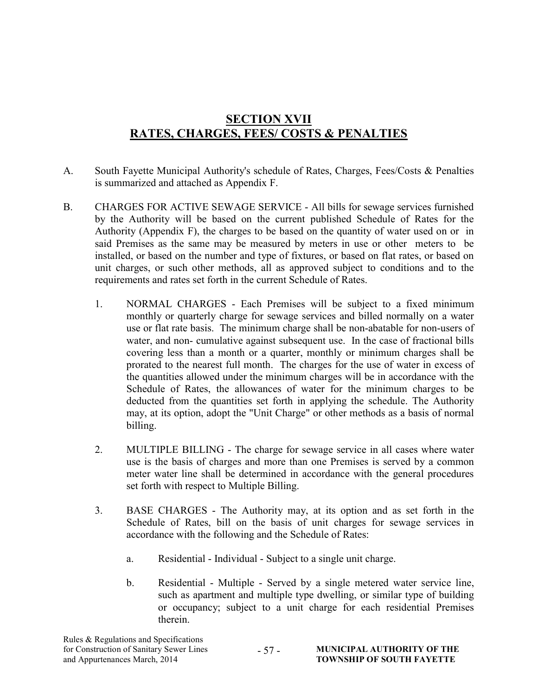## SECTION XVII RATES, CHARGES, FEES/ COSTS & PENALTIES

- A. South Fayette Municipal Authority's schedule of Rates, Charges, Fees/Costs & Penalties is summarized and attached as Appendix F.
- B. CHARGES FOR ACTIVE SEWAGE SERVICE All bills for sewage services furnished by the Authority will be based on the current published Schedule of Rates for the Authority (Appendix F), the charges to be based on the quantity of water used on or in said Premises as the same may be measured by meters in use or other meters to be installed, or based on the number and type of fixtures, or based on flat rates, or based on unit charges, or such other methods, all as approved subject to conditions and to the requirements and rates set forth in the current Schedule of Rates.
	- 1. NORMAL CHARGES Each Premises will be subject to a fixed minimum monthly or quarterly charge for sewage services and billed normally on a water use or flat rate basis. The minimum charge shall be non-abatable for non-users of water, and non- cumulative against subsequent use. In the case of fractional bills covering less than a month or a quarter, monthly or minimum charges shall be prorated to the nearest full month. The charges for the use of water in excess of the quantities allowed under the minimum charges will be in accordance with the Schedule of Rates, the allowances of water for the minimum charges to be deducted from the quantities set forth in applying the schedule. The Authority may, at its option, adopt the "Unit Charge" or other methods as a basis of normal billing.
	- 2. MULTIPLE BILLING The charge for sewage service in all cases where water use is the basis of charges and more than one Premises is served by a common meter water line shall be determined in accordance with the general procedures set forth with respect to Multiple Billing.
	- 3. BASE CHARGES The Authority may, at its option and as set forth in the Schedule of Rates, bill on the basis of unit charges for sewage services in accordance with the following and the Schedule of Rates:
		- a. Residential Individual Subject to a single unit charge.
		- b. Residential Multiple Served by a single metered water service line, such as apartment and multiple type dwelling, or similar type of building or occupancy; subject to a unit charge for each residential Premises therein.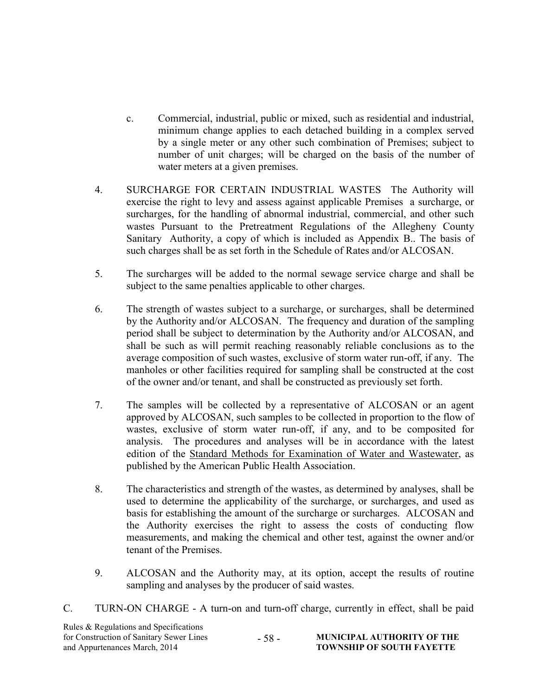- c. Commercial, industrial, public or mixed, such as residential and industrial, minimum change applies to each detached building in a complex served by a single meter or any other such combination of Premises; subject to number of unit charges; will be charged on the basis of the number of water meters at a given premises.
- 4. SURCHARGE FOR CERTAIN INDUSTRIAL WASTES The Authority will exercise the right to levy and assess against applicable Premises a surcharge, or surcharges, for the handling of abnormal industrial, commercial, and other such wastes Pursuant to the Pretreatment Regulations of the Allegheny County Sanitary Authority, a copy of which is included as Appendix B.. The basis of such charges shall be as set forth in the Schedule of Rates and/or ALCOSAN.
- 5. The surcharges will be added to the normal sewage service charge and shall be subject to the same penalties applicable to other charges.
- 6. The strength of wastes subject to a surcharge, or surcharges, shall be determined by the Authority and/or ALCOSAN. The frequency and duration of the sampling period shall be subject to determination by the Authority and/or ALCOSAN, and shall be such as will permit reaching reasonably reliable conclusions as to the average composition of such wastes, exclusive of storm water run-off, if any. The manholes or other facilities required for sampling shall be constructed at the cost of the owner and/or tenant, and shall be constructed as previously set forth.
- 7. The samples will be collected by a representative of ALCOSAN or an agent approved by ALCOSAN, such samples to be collected in proportion to the flow of wastes, exclusive of storm water run-off, if any, and to be composited for analysis. The procedures and analyses will be in accordance with the latest edition of the Standard Methods for Examination of Water and Wastewater, as published by the American Public Health Association.
- 8. The characteristics and strength of the wastes, as determined by analyses, shall be used to determine the applicability of the surcharge, or surcharges, and used as basis for establishing the amount of the surcharge or surcharges. ALCOSAN and the Authority exercises the right to assess the costs of conducting flow measurements, and making the chemical and other test, against the owner and/or tenant of the Premises.
- 9. ALCOSAN and the Authority may, at its option, accept the results of routine sampling and analyses by the producer of said wastes.
- C. TURN-ON CHARGE A turn-on and turn-off charge, currently in effect, shall be paid

| Rules & Regulations and Specifications   |        |                                   |  |  |  |
|------------------------------------------|--------|-----------------------------------|--|--|--|
| for Construction of Sanitary Sewer Lines | $-58-$ | <b>MUNICIPAL AUTHORITY OF THE</b> |  |  |  |
| and Appurtenances March, 2014            |        | <b>TOWNSHIP OF SOUTH FAYETTE</b>  |  |  |  |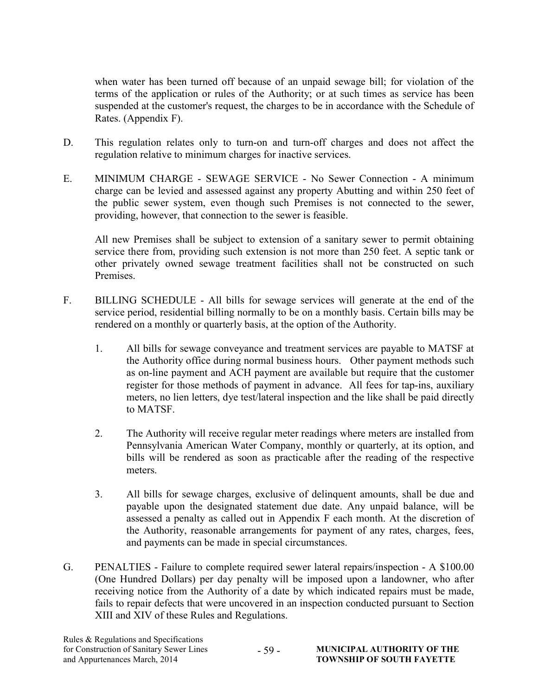when water has been turned off because of an unpaid sewage bill; for violation of the terms of the application or rules of the Authority; or at such times as service has been suspended at the customer's request, the charges to be in accordance with the Schedule of Rates. (Appendix F).

- D. This regulation relates only to turn-on and turn-off charges and does not affect the regulation relative to minimum charges for inactive services.
- E. MINIMUM CHARGE SEWAGE SERVICE No Sewer Connection A minimum charge can be levied and assessed against any property Abutting and within 250 feet of the public sewer system, even though such Premises is not connected to the sewer, providing, however, that connection to the sewer is feasible.

All new Premises shall be subject to extension of a sanitary sewer to permit obtaining service there from, providing such extension is not more than 250 feet. A septic tank or other privately owned sewage treatment facilities shall not be constructed on such Premises.

- F. BILLING SCHEDULE All bills for sewage services will generate at the end of the service period, residential billing normally to be on a monthly basis. Certain bills may be rendered on a monthly or quarterly basis, at the option of the Authority.
	- 1. All bills for sewage conveyance and treatment services are payable to MATSF at the Authority office during normal business hours. Other payment methods such as on-line payment and ACH payment are available but require that the customer register for those methods of payment in advance. All fees for tap-ins, auxiliary meters, no lien letters, dye test/lateral inspection and the like shall be paid directly to MATSF.
	- 2. The Authority will receive regular meter readings where meters are installed from Pennsylvania American Water Company, monthly or quarterly, at its option, and bills will be rendered as soon as practicable after the reading of the respective meters.
	- 3. All bills for sewage charges, exclusive of delinquent amounts, shall be due and payable upon the designated statement due date. Any unpaid balance, will be assessed a penalty as called out in Appendix F each month. At the discretion of the Authority, reasonable arrangements for payment of any rates, charges, fees, and payments can be made in special circumstances.
- G. PENALTIES Failure to complete required sewer lateral repairs/inspection A \$100.00 (One Hundred Dollars) per day penalty will be imposed upon a landowner, who after receiving notice from the Authority of a date by which indicated repairs must be made, fails to repair defects that were uncovered in an inspection conducted pursuant to Section XIII and XIV of these Rules and Regulations.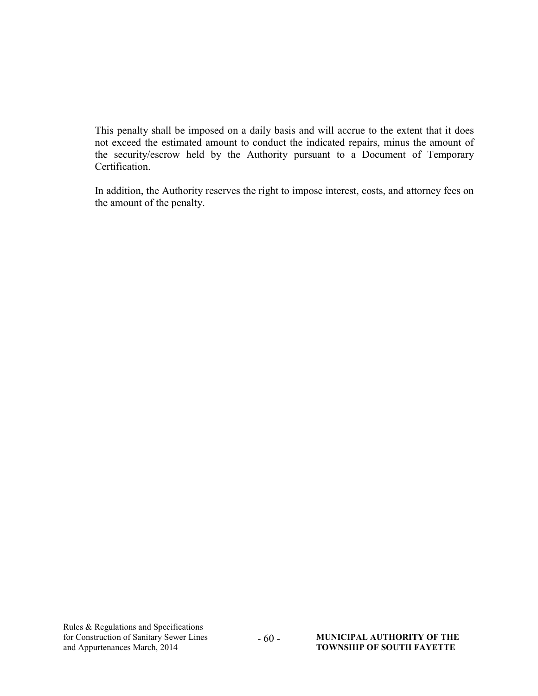This penalty shall be imposed on a daily basis and will accrue to the extent that it does not exceed the estimated amount to conduct the indicated repairs, minus the amount of the security/escrow held by the Authority pursuant to a Document of Temporary Certification.

In addition, the Authority reserves the right to impose interest, costs, and attorney fees on the amount of the penalty.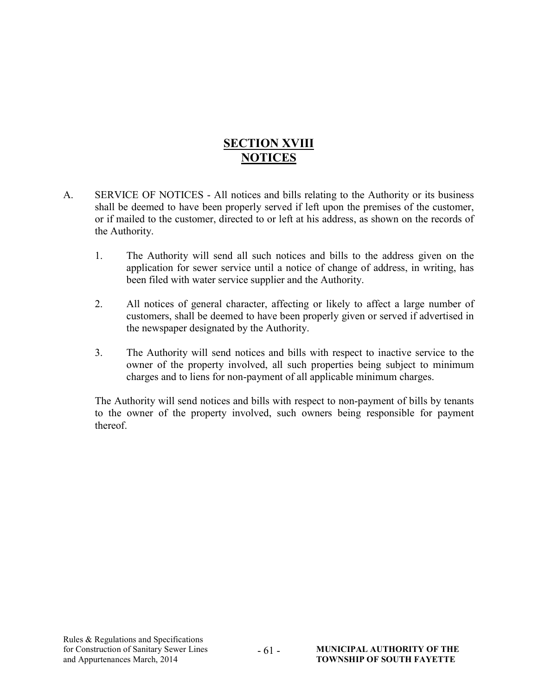## **SECTION XVIII NOTICES**

- A. SERVICE OF NOTICES All notices and bills relating to the Authority or its business shall be deemed to have been properly served if left upon the premises of the customer, or if mailed to the customer, directed to or left at his address, as shown on the records of the Authority.
	- 1. The Authority will send all such notices and bills to the address given on the application for sewer service until a notice of change of address, in writing, has been filed with water service supplier and the Authority.
	- 2. All notices of general character, affecting or likely to affect a large number of customers, shall be deemed to have been properly given or served if advertised in the newspaper designated by the Authority.
	- 3. The Authority will send notices and bills with respect to inactive service to the owner of the property involved, all such properties being subject to minimum charges and to liens for non-payment of all applicable minimum charges.

The Authority will send notices and bills with respect to non-payment of bills by tenants to the owner of the property involved, such owners being responsible for payment thereof.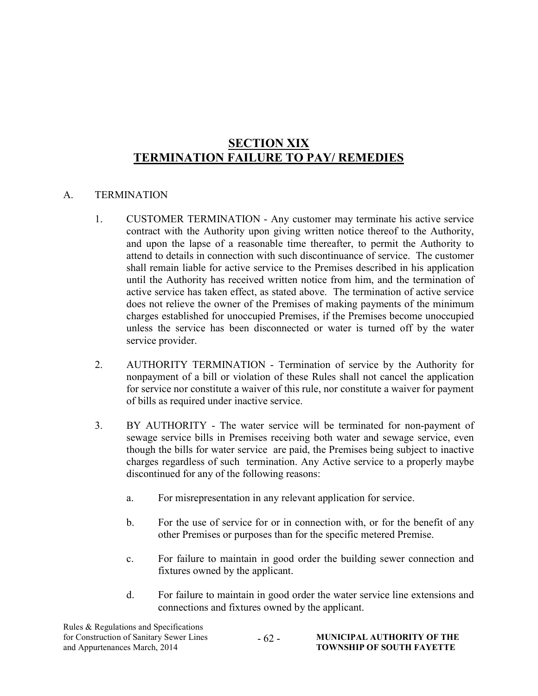## SECTION XIX TERMINATION FAILURE TO PAY/ REMEDIES

#### A. TERMINATION

- 1. CUSTOMER TERMINATION Any customer may terminate his active service contract with the Authority upon giving written notice thereof to the Authority, and upon the lapse of a reasonable time thereafter, to permit the Authority to attend to details in connection with such discontinuance of service. The customer shall remain liable for active service to the Premises described in his application until the Authority has received written notice from him, and the termination of active service has taken effect, as stated above. The termination of active service does not relieve the owner of the Premises of making payments of the minimum charges established for unoccupied Premises, if the Premises become unoccupied unless the service has been disconnected or water is turned off by the water service provider.
- 2. AUTHORITY TERMINATION Termination of service by the Authority for nonpayment of a bill or violation of these Rules shall not cancel the application for service nor constitute a waiver of this rule, nor constitute a waiver for payment of bills as required under inactive service.
- 3. BY AUTHORITY The water service will be terminated for non-payment of sewage service bills in Premises receiving both water and sewage service, even though the bills for water service are paid, the Premises being subject to inactive charges regardless of such termination. Any Active service to a properly maybe discontinued for any of the following reasons:
	- a. For misrepresentation in any relevant application for service.
	- b. For the use of service for or in connection with, or for the benefit of any other Premises or purposes than for the specific metered Premise.
	- c. For failure to maintain in good order the building sewer connection and fixtures owned by the applicant.
	- d. For failure to maintain in good order the water service line extensions and connections and fixtures owned by the applicant.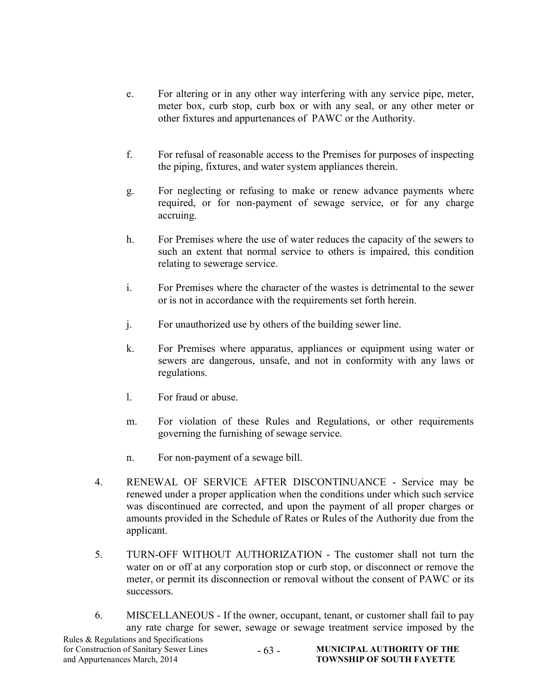- e. For altering or in any other way interfering with any service pipe, meter, meter box, curb stop, curb box or with any seal, or any other meter or other fixtures and appurtenances of PAWC or the Authority.
- f. For refusal of reasonable access to the Premises for purposes of inspecting the piping, fixtures, and water system appliances therein.
- g. For neglecting or refusing to make or renew advance payments where required, or for non-payment of sewage service, or for any charge accruing.
- h. For Premises where the use of water reduces the capacity of the sewers to such an extent that normal service to others is impaired, this condition relating to sewerage service.
- i. For Premises where the character of the wastes is detrimental to the sewer or is not in accordance with the requirements set forth herein.
- j. For unauthorized use by others of the building sewer line.
- k. For Premises where apparatus, appliances or equipment using water or sewers are dangerous, unsafe, and not in conformity with any laws or regulations.
- l. For fraud or abuse.
- m. For violation of these Rules and Regulations, or other requirements governing the furnishing of sewage service.
- n. For non-payment of a sewage bill.
- 4. RENEWAL OF SERVICE AFTER DISCONTINUANCE Service may be renewed under a proper application when the conditions under which such service was discontinued are corrected, and upon the payment of all proper charges or amounts provided in the Schedule of Rates or Rules of the Authority due from the applicant.
- 5. TURN-OFF WITHOUT AUTHORIZATION The customer shall not turn the water on or off at any corporation stop or curb stop, or disconnect or remove the meter, or permit its disconnection or removal without the consent of PAWC or its successors.
- 6. MISCELLANEOUS If the owner, occupant, tenant, or customer shall fail to pay any rate charge for sewer, sewage or sewage treatment service imposed by the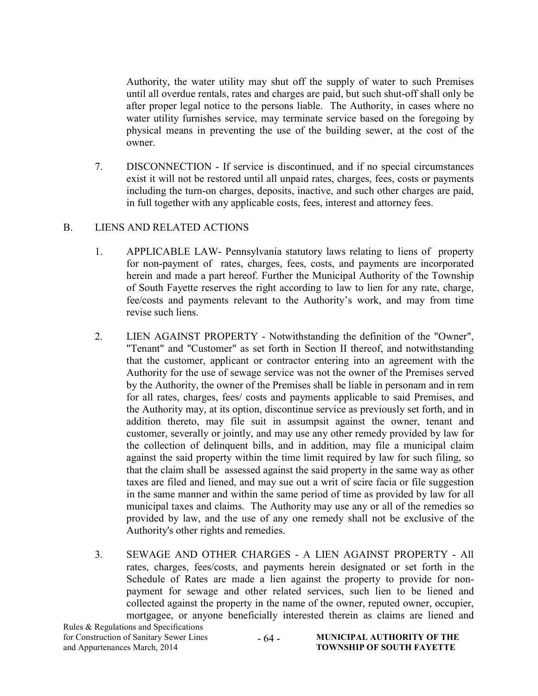Authority, the water utility may shut off the supply of water to such Premises until all overdue rentals, rates and charges are paid, but such shut-off shall only be after proper legal notice to the persons liable. The Authority, in cases where no water utility furnishes service, may terminate service based on the foregoing by physical means in preventing the use of the building sewer, at the cost of the owner.

7. DISCONNECTION - If service is discontinued, and if no special circumstances exist it will not be restored until all unpaid rates, charges, fees, costs or payments including the turn-on charges, deposits, inactive, and such other charges are paid, in full together with any applicable costs, fees, interest and attorney fees.

#### B. LIENS AND RELATED ACTIONS

- 1. APPLICABLE LAW- Pennsylvania statutory laws relating to liens of property for non-payment of rates, charges, fees, costs, and payments are incorporated herein and made a part hereof. Further the Municipal Authority of the Township of South Fayette reserves the right according to law to lien for any rate, charge, fee/costs and payments relevant to the Authority's work, and may from time revise such liens.
- 2. LIEN AGAINST PROPERTY Notwithstanding the definition of the "Owner", "Tenant" and "Customer" as set forth in Section II thereof, and notwithstanding that the customer, applicant or contractor entering into an agreement with the Authority for the use of sewage service was not the owner of the Premises served by the Authority, the owner of the Premises shall be liable in personam and in rem for all rates, charges, fees/ costs and payments applicable to said Premises, and the Authority may, at its option, discontinue service as previously set forth, and in addition thereto, may file suit in assumpsit against the owner, tenant and customer, severally or jointly, and may use any other remedy provided by law for the collection of delinquent bills, and in addition, may file a municipal claim against the said property within the time limit required by law for such filing, so that the claim shall be assessed against the said property in the same way as other taxes are filed and liened, and may sue out a writ of scire facia or file suggestion in the same manner and within the same period of time as provided by law for all municipal taxes and claims. The Authority may use any or all of the remedies so provided by law, and the use of any one remedy shall not be exclusive of the Authority's other rights and remedies.
- 3. SEWAGE AND OTHER CHARGES A LIEN AGAINST PROPERTY All rates, charges, fees/costs, and payments herein designated or set forth in the Schedule of Rates are made a lien against the property to provide for nonpayment for sewage and other related services, such lien to be liened and collected against the property in the name of the owner, reputed owner, occupier, mortgagee, or anyone beneficially interested therein as claims are liened and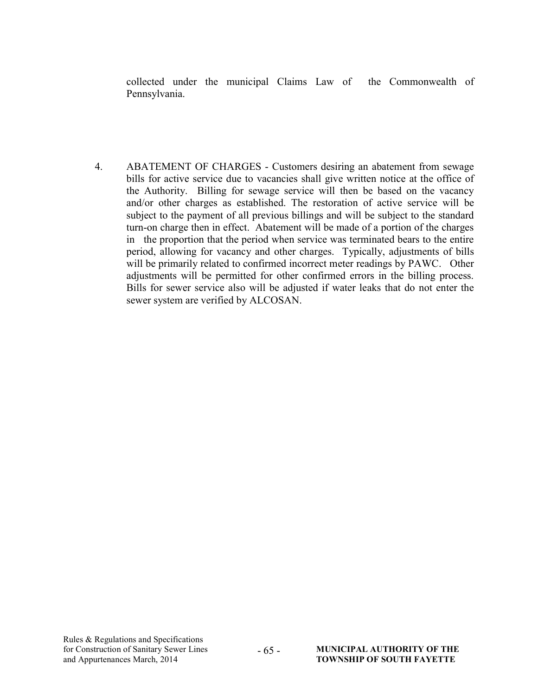collected under the municipal Claims Law of the Commonwealth of Pennsylvania.

4. ABATEMENT OF CHARGES - Customers desiring an abatement from sewage bills for active service due to vacancies shall give written notice at the office of the Authority. Billing for sewage service will then be based on the vacancy and/or other charges as established. The restoration of active service will be subject to the payment of all previous billings and will be subject to the standard turn-on charge then in effect. Abatement will be made of a portion of the charges in the proportion that the period when service was terminated bears to the entire period, allowing for vacancy and other charges. Typically, adjustments of bills will be primarily related to confirmed incorrect meter readings by PAWC. Other adjustments will be permitted for other confirmed errors in the billing process. Bills for sewer service also will be adjusted if water leaks that do not enter the sewer system are verified by ALCOSAN.

- 65 -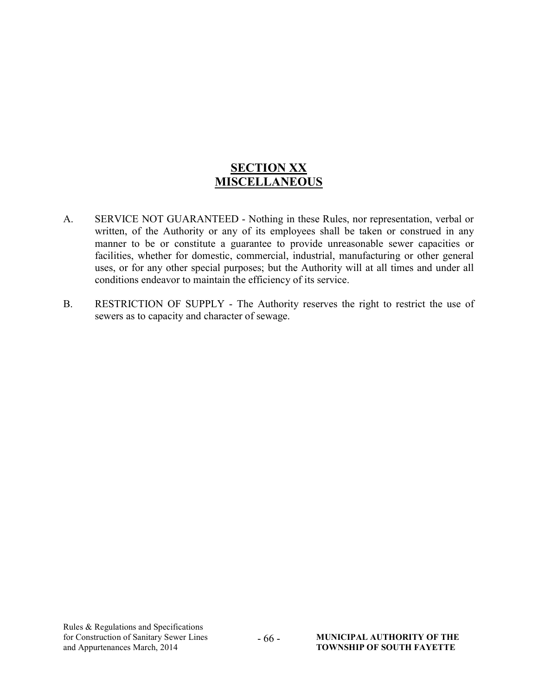## **SECTION XX MISCELLANEOUS**

- A. SERVICE NOT GUARANTEED Nothing in these Rules, nor representation, verbal or written, of the Authority or any of its employees shall be taken or construed in any manner to be or constitute a guarantee to provide unreasonable sewer capacities or facilities, whether for domestic, commercial, industrial, manufacturing or other general uses, or for any other special purposes; but the Authority will at all times and under all conditions endeavor to maintain the efficiency of its service.
- B. RESTRICTION OF SUPPLY The Authority reserves the right to restrict the use of sewers as to capacity and character of sewage.